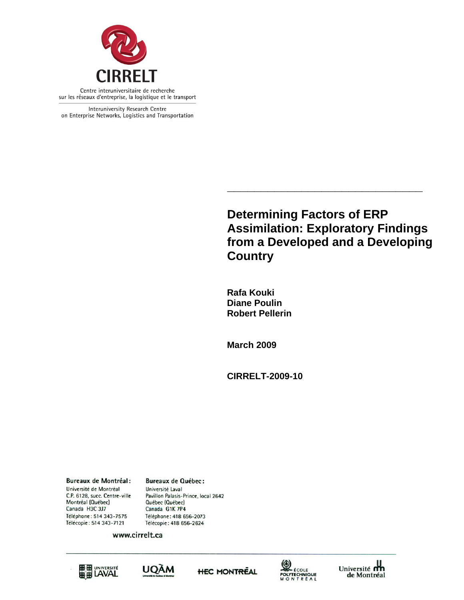

Interuniversity Research Centre on Enterprise Networks, Logistics and Transportation

> **Determining Factors of ERP Assimilation: Exploratory Findings from a Developed and a Developing Country**

**\_\_\_\_\_\_\_\_\_\_\_\_\_\_\_\_\_\_\_\_\_\_\_\_\_\_\_\_\_** 

 **Rafa Kouki Diane Poulin Robert Pellerin** 

 **March 2009** 

 **CIRRELT-2009-10** 

**Bureaux de Montréal:** Université de Montréal C.P. 6128, succ. Centre-ville Montréal (Québec) Canada H3C 3J7 Téléphone: 514 343-7575 Télécopie: 514 343-7121

**Bureaux de Québec:** Université Laval Pavillon Palasis-Prince, local 2642 Québec (Québec) Canada G1K 7P4 Téléphone: 418 656-2073 Télécopie: 418 656-2624

www.cirrelt.ca









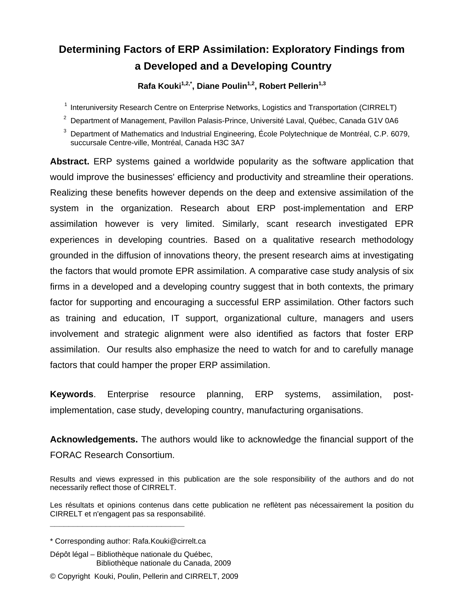# **Determining Factors of ERP Assimilation: Exploratory Findings from a Developed and a Developing Country**

Rafa Kouki<sup>1,2,\*</sup>, Diane Poulin<sup>1,2</sup>, Robert Pellerin<sup>1,3</sup>

<sup>1</sup> Interuniversity Research Centre on Enterprise Networks, Logistics and Transportation (CIRRELT)

 $^{2}$  Department of Management, Pavillon Palasis-Prince, Université Laval, Québec, Canada G1V 0A6

3 Department of Mathematics and Industrial Engineering, École Polytechnique de Montréal, C.P. 6079, succursale Centre-ville, Montréal, Canada H3C 3A7

**Abstract.** ERP systems gained a worldwide popularity as the software application that would improve the businesses' efficiency and productivity and streamline their operations. Realizing these benefits however depends on the deep and extensive assimilation of the system in the organization. Research about ERP post-implementation and ERP assimilation however is very limited. Similarly, scant research investigated EPR experiences in developing countries. Based on a qualitative research methodology grounded in the diffusion of innovations theory, the present research aims at investigating the factors that would promote EPR assimilation. A comparative case study analysis of six firms in a developed and a developing country suggest that in both contexts, the primary factor for supporting and encouraging a successful ERP assimilation. Other factors such as training and education, IT support, organizational culture, managers and users involvement and strategic alignment were also identified as factors that foster ERP assimilation. Our results also emphasize the need to watch for and to carefully manage factors that could hamper the proper ERP assimilation.

**Keywords**. Enterprise resource planning, ERP systems, assimilation, postimplementation, case study, developing country, manufacturing organisations.

**Acknowledgements.** The authors would like to acknowledge the financial support of the FORAC Research Consortium.

Results and views expressed in this publication are the sole responsibility of the authors and do not necessarily reflect those of CIRRELT.

Les résultats et opinions contenus dans cette publication ne reflètent pas nécessairement la position du CIRRELT et n'engagent pas sa responsabilité.

**\_\_\_\_\_\_\_\_\_\_\_\_\_\_\_\_\_\_\_\_\_\_\_\_\_\_\_\_\_**

<sup>\*</sup> Corresponding author: Rafa.Kouki@cirrelt.ca

Dépôt légal – Bibliothèque nationale du Québec, Bibliothèque nationale du Canada, 2009

<sup>©</sup> Copyright Kouki, Poulin, Pellerin and CIRRELT, 2009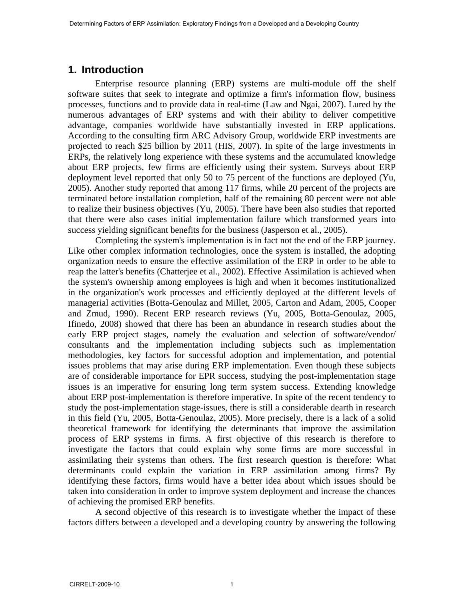## **1. Introduction**

Enterprise resource planning (ERP) systems are multi-module off the shelf software suites that seek to integrate and optimize a firm's information flow, business processes, functions and to provide data in real-time (Law and Ngai, 2007). Lured by the numerous advantages of ERP systems and with their ability to deliver competitive advantage, companies worldwide have substantially invested in ERP applications. According to the consulting firm ARC Advisory Group, worldwide ERP investments are projected to reach \$25 billion by 2011 (HIS, 2007). In spite of the large investments in ERPs, the relatively long experience with these systems and the accumulated knowledge about ERP projects, few firms are efficiently using their system. Surveys about ERP deployment level reported that only 50 to 75 percent of the functions are deployed (Yu, 2005). Another study reported that among 117 firms, while 20 percent of the projects are terminated before installation completion, half of the remaining 80 percent were not able to realize their business objectives (Yu, 2005). There have been also studies that reported that there were also cases initial implementation failure which transformed years into success yielding significant benefits for the business (Jasperson et al., 2005).

Completing the system's implementation is in fact not the end of the ERP journey. Like other complex information technologies, once the system is installed, the adopting organization needs to ensure the effective assimilation of the ERP in order to be able to reap the latter's benefits (Chatterjee et al., 2002). Effective Assimilation is achieved when the system's ownership among employees is high and when it becomes institutionalized in the organization's work processes and efficiently deployed at the different levels of managerial activities (Botta-Genoulaz and Millet, 2005, Carton and Adam, 2005, Cooper and Zmud, 1990). Recent ERP research reviews (Yu, 2005, Botta-Genoulaz, 2005, Ifinedo, 2008) showed that there has been an abundance in research studies about the early ERP project stages, namely the evaluation and selection of software/vendor/ consultants and the implementation including subjects such as implementation methodologies, key factors for successful adoption and implementation, and potential issues problems that may arise during ERP implementation. Even though these subjects are of considerable importance for EPR success, studying the post-implementation stage issues is an imperative for ensuring long term system success. Extending knowledge about ERP post-implementation is therefore imperative. In spite of the recent tendency to study the post-implementation stage-issues, there is still a considerable dearth in research in this field (Yu, 2005, Botta-Genoulaz, 2005). More precisely, there is a lack of a solid theoretical framework for identifying the determinants that improve the assimilation process of ERP systems in firms. A first objective of this research is therefore to investigate the factors that could explain why some firms are more successful in assimilating their systems than others. The first research question is therefore: What determinants could explain the variation in ERP assimilation among firms? By identifying these factors, firms would have a better idea about which issues should be taken into consideration in order to improve system deployment and increase the chances of achieving the promised ERP benefits.

A second objective of this research is to investigate whether the impact of these factors differs between a developed and a developing country by answering the following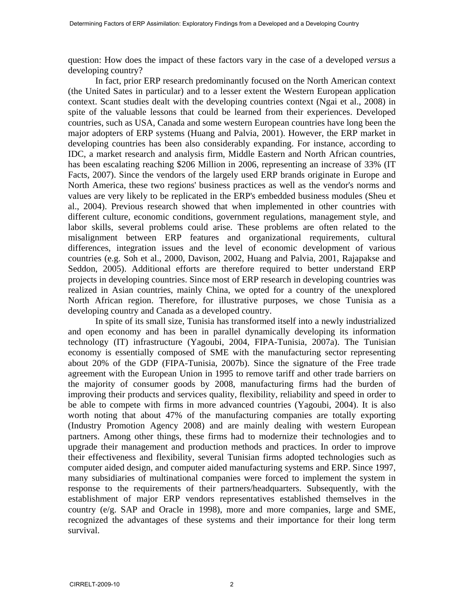question: How does the impact of these factors vary in the case of a developed *versus* a developing country?

In fact, prior ERP research predominantly focused on the North American context (the United Sates in particular) and to a lesser extent the Western European application context. Scant studies dealt with the developing countries context (Ngai et al., 2008) in spite of the valuable lessons that could be learned from their experiences. Developed countries, such as USA, Canada and some western European countries have long been the major adopters of ERP systems (Huang and Palvia, 2001). However, the ERP market in developing countries has been also considerably expanding. For instance, according to IDC, a market research and analysis firm, Middle Eastern and North African countries, has been escalating reaching \$206 Million in 2006, representing an increase of 33% (IT Facts, 2007). Since the vendors of the largely used ERP brands originate in Europe and North America, these two regions' business practices as well as the vendor's norms and values are very likely to be replicated in the ERP's embedded business modules (Sheu et al., 2004). Previous research showed that when implemented in other countries with different culture, economic conditions, government regulations, management style, and labor skills, several problems could arise. These problems are often related to the misalignment between ERP features and organizational requirements, cultural differences, integration issues and the level of economic development of various countries (e.g. Soh et al., 2000, Davison, 2002, Huang and Palvia, 2001, Rajapakse and Seddon, 2005). Additional efforts are therefore required to better understand ERP projects in developing countries. Since most of ERP research in developing countries was realized in Asian countries, mainly China, we opted for a country of the unexplored North African region. Therefore, for illustrative purposes, we chose Tunisia as a developing country and Canada as a developed country.

In spite of its small size, Tunisia has transformed itself into a newly industrialized and open economy and has been in parallel dynamically developing its information technology (IT) infrastructure (Yagoubi, 2004, FIPA-Tunisia, 2007a). The Tunisian economy is essentially composed of SME with the manufacturing sector representing about 20% of the GDP (FIPA-Tunisia, 2007b). Since the signature of the Free trade agreement with the European Union in 1995 to remove tariff and other trade barriers on the majority of consumer goods by 2008, manufacturing firms had the burden of improving their products and services quality, flexibility, reliability and speed in order to be able to compete with firms in more advanced countries (Yagoubi, 2004). It is also worth noting that about 47% of the manufacturing companies are totally exporting (Industry Promotion Agency 2008) and are mainly dealing with western European partners. Among other things, these firms had to modernize their technologies and to upgrade their management and production methods and practices. In order to improve their effectiveness and flexibility, several Tunisian firms adopted technologies such as computer aided design, and computer aided manufacturing systems and ERP. Since 1997, many subsidiaries of multinational companies were forced to implement the system in response to the requirements of their partners/headquarters. Subsequently, with the establishment of major ERP vendors representatives established themselves in the country (e/g. SAP and Oracle in 1998), more and more companies, large and SME, recognized the advantages of these systems and their importance for their long term survival.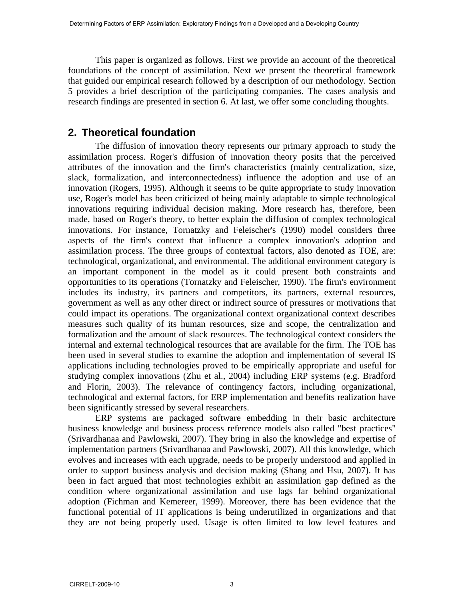This paper is organized as follows. First we provide an account of the theoretical foundations of the concept of assimilation. Next we present the theoretical framework that guided our empirical research followed by a description of our methodology. Section 5 provides a brief description of the participating companies. The cases analysis and research findings are presented in section 6. At last, we offer some concluding thoughts.

## **2. Theoretical foundation**

The diffusion of innovation theory represents our primary approach to study the assimilation process. Roger's diffusion of innovation theory posits that the perceived attributes of the innovation and the firm's characteristics (mainly centralization, size, slack, formalization, and interconnectedness) influence the adoption and use of an innovation (Rogers, 1995). Although it seems to be quite appropriate to study innovation use, Roger's model has been criticized of being mainly adaptable to simple technological innovations requiring individual decision making. More research has, therefore, been made, based on Roger's theory, to better explain the diffusion of complex technological innovations. For instance, Tornatzky and Feleischer's (1990) model considers three aspects of the firm's context that influence a complex innovation's adoption and assimilation process. The three groups of contextual factors, also denoted as TOE, are: technological, organizational, and environmental. The additional environment category is an important component in the model as it could present both constraints and opportunities to its operations (Tornatzky and Feleischer, 1990). The firm's environment includes its industry, its partners and competitors, its partners, external resources, government as well as any other direct or indirect source of pressures or motivations that could impact its operations. The organizational context organizational context describes measures such quality of its human resources, size and scope, the centralization and formalization and the amount of slack resources. The technological context considers the internal and external technological resources that are available for the firm. The TOE has been used in several studies to examine the adoption and implementation of several IS applications including technologies proved to be empirically appropriate and useful for studying complex innovations (Zhu et al., 2004) including ERP systems (e.g. Bradford and Florin, 2003). The relevance of contingency factors, including organizational, technological and external factors, for ERP implementation and benefits realization have been significantly stressed by several researchers.

ERP systems are packaged software embedding in their basic architecture business knowledge and business process reference models also called "best practices" (Srivardhanaa and Pawlowski, 2007). They bring in also the knowledge and expertise of implementation partners (Srivardhanaa and Pawlowski, 2007). All this knowledge, which evolves and increases with each upgrade, needs to be properly understood and applied in order to support business analysis and decision making (Shang and Hsu, 2007). It has been in fact argued that most technologies exhibit an assimilation gap defined as the condition where organizational assimilation and use lags far behind organizational adoption (Fichman and Kemereer, 1999). Moreover, there has been evidence that the functional potential of IT applications is being underutilized in organizations and that they are not being properly used. Usage is often limited to low level features and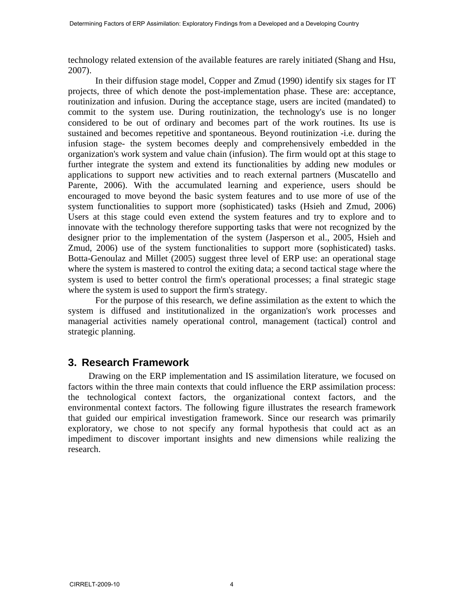technology related extension of the available features are rarely initiated (Shang and Hsu, 2007).

In their diffusion stage model, Copper and Zmud (1990) identify six stages for IT projects, three of which denote the post-implementation phase. These are: acceptance, routinization and infusion. During the acceptance stage, users are incited (mandated) to commit to the system use. During routinization, the technology's use is no longer considered to be out of ordinary and becomes part of the work routines. Its use is sustained and becomes repetitive and spontaneous. Beyond routinization -i.e. during the infusion stage- the system becomes deeply and comprehensively embedded in the organization's work system and value chain (infusion). The firm would opt at this stage to further integrate the system and extend its functionalities by adding new modules or applications to support new activities and to reach external partners (Muscatello and Parente, 2006). With the accumulated learning and experience, users should be encouraged to move beyond the basic system features and to use more of use of the system functionalities to support more (sophisticated) tasks (Hsieh and Zmud, 2006) Users at this stage could even extend the system features and try to explore and to innovate with the technology therefore supporting tasks that were not recognized by the designer prior to the implementation of the system (Jasperson et al., 2005, Hsieh and Zmud, 2006) use of the system functionalities to support more (sophisticated) tasks. Botta-Genoulaz and Millet (2005) suggest three level of ERP use: an operational stage where the system is mastered to control the exiting data; a second tactical stage where the system is used to better control the firm's operational processes; a final strategic stage where the system is used to support the firm's strategy.

For the purpose of this research, we define assimilation as the extent to which the system is diffused and institutionalized in the organization's work processes and managerial activities namely operational control, management (tactical) control and strategic planning.

## **3. Research Framework**

Drawing on the ERP implementation and IS assimilation literature, we focused on factors within the three main contexts that could influence the ERP assimilation process: the technological context factors, the organizational context factors, and the environmental context factors. The following figure illustrates the research framework that guided our empirical investigation framework. Since our research was primarily exploratory, we chose to not specify any formal hypothesis that could act as an impediment to discover important insights and new dimensions while realizing the research.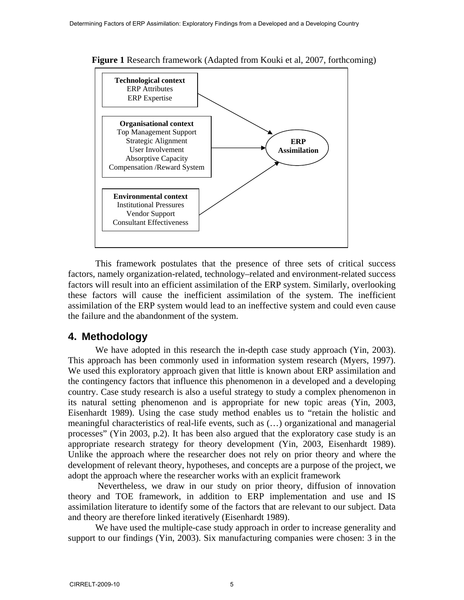

**Figure 1** Research framework (Adapted from Kouki et al, 2007, forthcoming)

This framework postulates that the presence of three sets of critical success factors, namely organization-related, technology–related and environment-related success factors will result into an efficient assimilation of the ERP system. Similarly, overlooking these factors will cause the inefficient assimilation of the system. The inefficient assimilation of the ERP system would lead to an ineffective system and could even cause the failure and the abandonment of the system.

## **4. Methodology**

We have adopted in this research the in-depth case study approach (Yin, 2003). This approach has been commonly used in information system research (Myers, 1997). We used this exploratory approach given that little is known about ERP assimilation and the contingency factors that influence this phenomenon in a developed and a developing country. Case study research is also a useful strategy to study a complex phenomenon in its natural setting phenomenon and is appropriate for new topic areas (Yin, 2003, Eisenhardt 1989). Using the case study method enables us to "retain the holistic and meaningful characteristics of real-life events, such as (…) organizational and managerial processes" (Yin 2003, p.2). It has been also argued that the exploratory case study is an appropriate research strategy for theory development (Yin, 2003, Eisenhardt 1989). Unlike the approach where the researcher does not rely on prior theory and where the development of relevant theory, hypotheses, and concepts are a purpose of the project, we adopt the approach where the researcher works with an explicit framework

 Nevertheless, we draw in our study on prior theory, diffusion of innovation theory and TOE framework, in addition to ERP implementation and use and IS assimilation literature to identify some of the factors that are relevant to our subject. Data and theory are therefore linked iteratively (Eisenhardt 1989).

We have used the multiple-case study approach in order to increase generality and support to our findings (Yin, 2003). Six manufacturing companies were chosen: 3 in the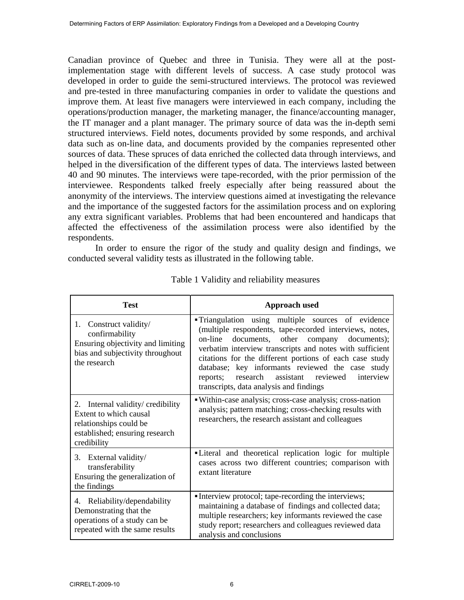Canadian province of Quebec and three in Tunisia. They were all at the postimplementation stage with different levels of success. A case study protocol was developed in order to guide the semi-structured interviews. The protocol was reviewed and pre-tested in three manufacturing companies in order to validate the questions and improve them. At least five managers were interviewed in each company, including the operations/production manager, the marketing manager, the finance/accounting manager, the IT manager and a plant manager. The primary source of data was the in-depth semi structured interviews. Field notes, documents provided by some responds, and archival data such as on-line data, and documents provided by the companies represented other sources of data. These spruces of data enriched the collected data through interviews, and helped in the diversification of the different types of data. The interviews lasted between 40 and 90 minutes. The interviews were tape-recorded, with the prior permission of the interviewee. Respondents talked freely especially after being reassured about the anonymity of the interviews. The interview questions aimed at investigating the relevance and the importance of the suggested factors for the assimilation process and on exploring any extra significant variables. Problems that had been encountered and handicaps that affected the effectiveness of the assimilation process were also identified by the respondents.

In order to ensure the rigor of the study and quality design and findings, we conducted several validity tests as illustrated in the following table.

| <b>Test</b>                                                                                                                               | <b>Approach used</b>                                                                                                                                                                                                                                                                                                                                                                                                                             |
|-------------------------------------------------------------------------------------------------------------------------------------------|--------------------------------------------------------------------------------------------------------------------------------------------------------------------------------------------------------------------------------------------------------------------------------------------------------------------------------------------------------------------------------------------------------------------------------------------------|
| 1. Construct validity/<br>confirmability<br>Ensuring objectivity and limiting<br>bias and subjectivity throughout<br>the research         | <b>Triangulation</b> using multiple sources of evidence<br>(multiple respondents, tape-recorded interviews, notes,<br>on-line documents, other company documents);<br>verbatim interview transcripts and notes with sufficient<br>citations for the different portions of each case study<br>database; key informants reviewed the case study<br>assistant reviewed interview<br>research<br>reports;<br>transcripts, data analysis and findings |
| Internal validity/ credibility<br>2.<br>Extent to which causal<br>relationships could be<br>established; ensuring research<br>credibility | • Within-case analysis; cross-case analysis; cross-nation<br>analysis; pattern matching; cross-checking results with<br>researchers, the research assistant and colleagues                                                                                                                                                                                                                                                                       |
| 3. External validity/<br>transferability<br>Ensuring the generalization of<br>the findings                                                | "Literal and theoretical replication logic for multiple<br>cases across two different countries; comparison with<br>extant literature                                                                                                                                                                                                                                                                                                            |
| 4. Reliability/dependability<br>Demonstrating that the<br>operations of a study can be<br>repeated with the same results                  | Interview protocol; tape-recording the interviews;<br>maintaining a database of findings and collected data;<br>multiple researchers; key informants reviewed the case<br>study report; researchers and colleagues reviewed data<br>analysis and conclusions                                                                                                                                                                                     |

Table 1 Validity and reliability measures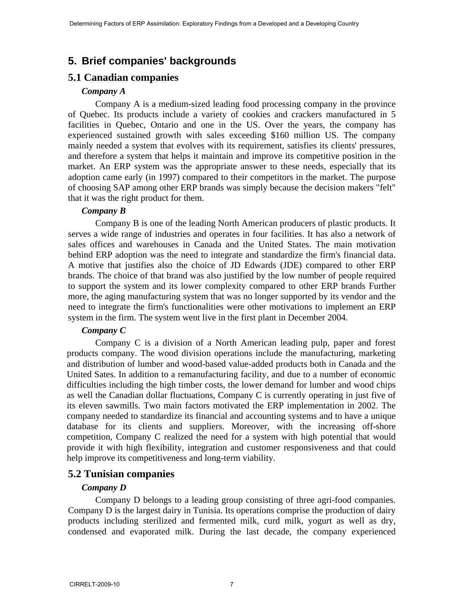# **5. Brief companies' backgrounds**

## **5.1 Canadian companies**

#### *Company A*

Company A is a medium-sized leading food processing company in the province of Quebec. Its products include a variety of cookies and crackers manufactured in 5 facilities in Quebec, Ontario and one in the US. Over the years, the company has experienced sustained growth with sales exceeding \$160 million US. The company mainly needed a system that evolves with its requirement, satisfies its clients' pressures, and therefore a system that helps it maintain and improve its competitive position in the market. An ERP system was the appropriate answer to these needs, especially that its adoption came early (in 1997) compared to their competitors in the market. The purpose of choosing SAP among other ERP brands was simply because the decision makers "felt" that it was the right product for them.

## *Company B*

Company B is one of the leading North American producers of plastic products. It serves a wide range of industries and operates in four facilities. It has also a network of sales offices and warehouses in Canada and the United States. The main motivation behind ERP adoption was the need to integrate and standardize the firm's financial data. A motive that justifies also the choice of JD Edwards (JDE) compared to other ERP brands. The choice of that brand was also justified by the low number of people required to support the system and its lower complexity compared to other ERP brands Further more, the aging manufacturing system that was no longer supported by its vendor and the need to integrate the firm's functionalities were other motivations to implement an ERP system in the firm. The system went live in the first plant in December 2004.

## *Company C*

Company C is a division of a North American leading pulp, paper and forest products company. The wood division operations include the manufacturing, marketing and distribution of lumber and wood-based value-added products both in Canada and the United Sates. In addition to a remanufacturing facility, and due to a number of economic difficulties including the high timber costs, the lower demand for lumber and wood chips as well the Canadian dollar fluctuations, Company C is currently operating in just five of its eleven sawmills. Two main factors motivated the ERP implementation in 2002. The company needed to standardize its financial and accounting systems and to have a unique database for its clients and suppliers. Moreover, with the increasing off-shore competition, Company C realized the need for a system with high potential that would provide it with high flexibility, integration and customer responsiveness and that could help improve its competitiveness and long-term viability.

## **5.2 Tunisian companies**

## *Company D*

Company D belongs to a leading group consisting of three agri-food companies. Company D is the largest dairy in Tunisia. Its operations comprise the production of dairy products including sterilized and fermented milk, curd milk, yogurt as well as dry, condensed and evaporated milk. During the last decade, the company experienced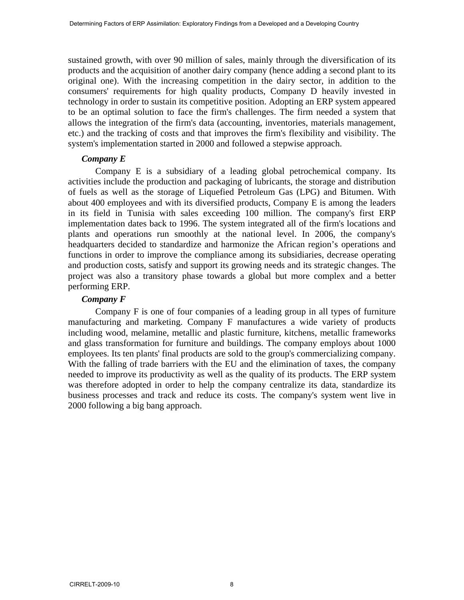sustained growth, with over 90 million of sales, mainly through the diversification of its products and the acquisition of another dairy company (hence adding a second plant to its original one). With the increasing competition in the dairy sector, in addition to the consumers' requirements for high quality products, Company D heavily invested in technology in order to sustain its competitive position. Adopting an ERP system appeared to be an optimal solution to face the firm's challenges. The firm needed a system that allows the integration of the firm's data (accounting, inventories, materials management, etc.) and the tracking of costs and that improves the firm's flexibility and visibility. The system's implementation started in 2000 and followed a stepwise approach.

#### *Company E*

Company E is a subsidiary of a leading global petrochemical company. Its activities include the production and packaging of lubricants, the storage and distribution of fuels as well as the storage of Liquefied Petroleum Gas (LPG) and Bitumen. With about 400 employees and with its diversified products, Company E is among the leaders in its field in Tunisia with sales exceeding 100 million. The company's first ERP implementation dates back to 1996. The system integrated all of the firm's locations and plants and operations run smoothly at the national level. In 2006, the company's headquarters decided to standardize and harmonize the African region's operations and functions in order to improve the compliance among its subsidiaries, decrease operating and production costs, satisfy and support its growing needs and its strategic changes. The project was also a transitory phase towards a global but more complex and a better performing ERP.

#### *Company F*

Company F is one of four companies of a leading group in all types of furniture manufacturing and marketing. Company F manufactures a wide variety of products including wood, melamine, metallic and plastic furniture, kitchens, metallic frameworks and glass transformation for furniture and buildings. The company employs about 1000 employees. Its ten plants' final products are sold to the group's commercializing company. With the falling of trade barriers with the EU and the elimination of taxes, the company needed to improve its productivity as well as the quality of its products. The ERP system was therefore adopted in order to help the company centralize its data, standardize its business processes and track and reduce its costs. The company's system went live in 2000 following a big bang approach.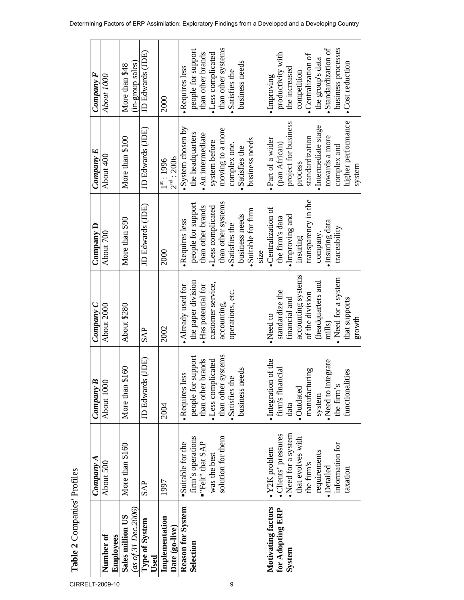|                                  | Company A           | ≃<br>Company        | Company C           | $\mathop{\rm Comparison}\limits_{\sim}$ | Company E                              | $Compary$ $F$       |
|----------------------------------|---------------------|---------------------|---------------------|-----------------------------------------|----------------------------------------|---------------------|
| Number of                        | About 500           | About 1000          | About 2000          | About 700                               | About 400                              | About 1000          |
| Employees                        |                     |                     |                     |                                         |                                        |                     |
| Sales million US                 | More than \$160     | \$160<br>More than  | About \$280         | More than \$90                          | More than \$100                        | More than \$48      |
| (as of 31 Dec. 2006)             |                     |                     |                     |                                         |                                        | (in-group sales)    |
| Type of System<br>Used           | <b>SAP</b>          | JD Edwards (JDE)    | <b>SAP</b>          | JD Edwards (JDE)                        | JD Edwards (JDE)                       | JD Edwards (JDE)    |
| Implementation<br>Date (go-live) | 1997                | 2004                | 2002                | 2000                                    | $2^{\rm nd}$ : 2006<br>$1^{st}$ : 1996 | 2000                |
| Reason for System                | Suitable for the    | ess<br>·Requires 1  | Already used for    | ·Requires less                          | $\bullet$ System chosen by             | ·Requires less      |
| Selection                        | firm's operations   | people for support  | the paper division  | people for support                      | the headquarters                       | people for support  |
|                                  | "Felt" that SAP     | than other brands   | · Has potential for | than other brands                       | · An intermediate                      | than other brands   |
|                                  | was the best        | ·Less complicated   | customer service,   | ·Less complicated                       | system before                          | ·Less complicated   |
|                                  | solution for them   | than other systems  | accounting,         | than other systems                      | moving to a more                       | than other systems  |
|                                  |                     | ·Satisfies the      | operations, etc.    | ·Satisfies the                          | complex one.                           | •Satisfies the      |
|                                  |                     | business needs      |                     | business needs                          | Satisfies the                          | business needs      |
|                                  |                     |                     |                     | · Suitable for firm                     | business needs                         |                     |
|                                  |                     |                     |                     | size                                    |                                        |                     |
| Motivating factors               | $\cdot$ Y2K problem | ·Integration of the | Need to             | •Centralization of                      | · Part of a wider                      | ·Improving          |
| for Adopting ERP                 | ·Clients' pressures | firm's financial    | standardize the     | the firm's data                         | (pan African)                          | productivity with   |
| System                           | Need for a system   | data                | financial and       | · Improving and                         | project for business                   | the increased       |
|                                  | that evolves with   | ·Outdated           | accounting systems  | insuring                                | process                                | competition         |
|                                  | the firm's          | manufacturing       | of the division     | transparency in the                     | standardization                        | •Centralization of  |
|                                  | requirements        | system              | headquarters and    | company                                 | · Intermediate stage                   | the group's data    |
|                                  | ·Detailed           | Need to integrate   | mills)              | · Insuring data                         | towards a more                         | ·Standardization of |
|                                  | information for     | the firm's          | Need for a system   | traceability                            | complex and                            | business processes  |
|                                  | taxation            | functionalities     | that supports       |                                         | higher performance                     | •Cost reduction     |
|                                  |                     |                     | growth              |                                         | system                                 |                     |

**Table 2** Companies' Profiles

Table 2 Companies' Profiles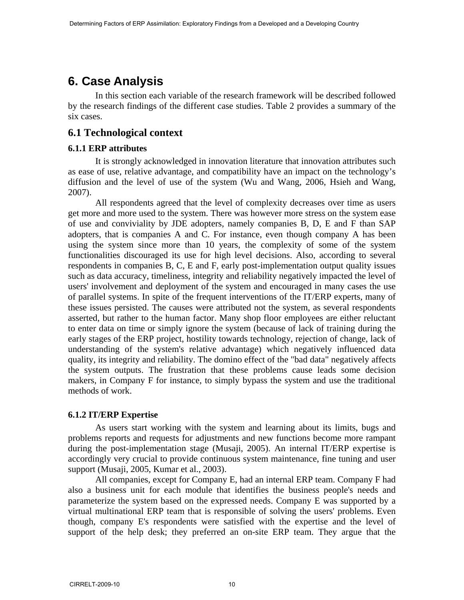# **6. Case Analysis**

In this section each variable of the research framework will be described followed by the research findings of the different case studies. Table 2 provides a summary of the six cases.

## **6.1 Technological context**

#### **6.1.1 ERP attributes**

It is strongly acknowledged in innovation literature that innovation attributes such as ease of use, relative advantage, and compatibility have an impact on the technology's diffusion and the level of use of the system (Wu and Wang, 2006, Hsieh and Wang, 2007).

All respondents agreed that the level of complexity decreases over time as users get more and more used to the system. There was however more stress on the system ease of use and conviviality by JDE adopters, namely companies B, D, E and F than SAP adopters, that is companies A and C. For instance, even though company A has been using the system since more than 10 years, the complexity of some of the system functionalities discouraged its use for high level decisions. Also, according to several respondents in companies B, C, E and F, early post-implementation output quality issues such as data accuracy, timeliness, integrity and reliability negatively impacted the level of users' involvement and deployment of the system and encouraged in many cases the use of parallel systems. In spite of the frequent interventions of the IT/ERP experts, many of these issues persisted. The causes were attributed not the system, as several respondents asserted, but rather to the human factor. Many shop floor employees are either reluctant to enter data on time or simply ignore the system (because of lack of training during the early stages of the ERP project, hostility towards technology, rejection of change, lack of understanding of the system's relative advantage) which negatively influenced data quality, its integrity and reliability. The domino effect of the "bad data" negatively affects the system outputs. The frustration that these problems cause leads some decision makers, in Company F for instance, to simply bypass the system and use the traditional methods of work.

## **6.1.2 IT/ERP Expertise**

As users start working with the system and learning about its limits, bugs and problems reports and requests for adjustments and new functions become more rampant during the post-implementation stage (Musaji, 2005). An internal IT/ERP expertise is accordingly very crucial to provide continuous system maintenance, fine tuning and user support (Musaji, 2005, Kumar et al., 2003).

All companies, except for Company E, had an internal ERP team. Company F had also a business unit for each module that identifies the business people's needs and parameterize the system based on the expressed needs. Company E was supported by a virtual multinational ERP team that is responsible of solving the users' problems. Even though, company E's respondents were satisfied with the expertise and the level of support of the help desk; they preferred an on-site ERP team. They argue that the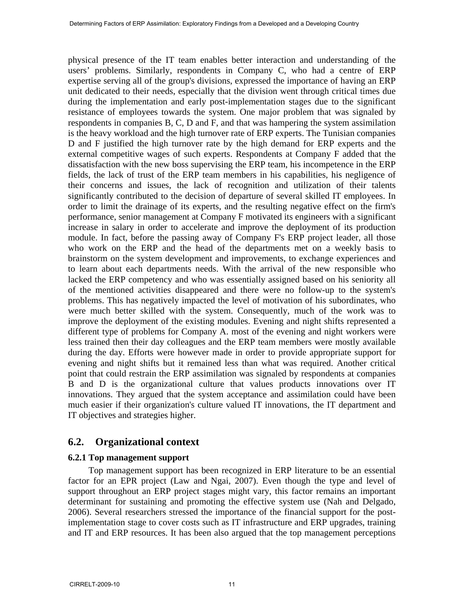physical presence of the IT team enables better interaction and understanding of the users' problems. Similarly, respondents in Company C, who had a centre of ERP expertise serving all of the group's divisions, expressed the importance of having an ERP unit dedicated to their needs, especially that the division went through critical times due during the implementation and early post-implementation stages due to the significant resistance of employees towards the system. One major problem that was signaled by respondents in companies B, C, D and F, and that was hampering the system assimilation is the heavy workload and the high turnover rate of ERP experts. The Tunisian companies D and F justified the high turnover rate by the high demand for ERP experts and the external competitive wages of such experts. Respondents at Company F added that the dissatisfaction with the new boss supervising the ERP team, his incompetence in the ERP fields, the lack of trust of the ERP team members in his capabilities, his negligence of their concerns and issues, the lack of recognition and utilization of their talents significantly contributed to the decision of departure of several skilled IT employees. In order to limit the drainage of its experts, and the resulting negative effect on the firm's performance, senior management at Company F motivated its engineers with a significant increase in salary in order to accelerate and improve the deployment of its production module. In fact, before the passing away of Company F's ERP project leader, all those who work on the ERP and the head of the departments met on a weekly basis to brainstorm on the system development and improvements, to exchange experiences and to learn about each departments needs. With the arrival of the new responsible who lacked the ERP competency and who was essentially assigned based on his seniority all of the mentioned activities disappeared and there were no follow-up to the system's problems. This has negatively impacted the level of motivation of his subordinates, who were much better skilled with the system. Consequently, much of the work was to improve the deployment of the existing modules. Evening and night shifts represented a different type of problems for Company A. most of the evening and night workers were less trained then their day colleagues and the ERP team members were mostly available during the day. Efforts were however made in order to provide appropriate support for evening and night shifts but it remained less than what was required. Another critical point that could restrain the ERP assimilation was signaled by respondents at companies B and D is the organizational culture that values products innovations over IT innovations. They argued that the system acceptance and assimilation could have been much easier if their organization's culture valued IT innovations, the IT department and IT objectives and strategies higher.

## **6.2. Organizational context**

#### **6.2.1 Top management support**

Top management support has been recognized in ERP literature to be an essential factor for an EPR project (Law and Ngai, 2007). Even though the type and level of support throughout an ERP project stages might vary, this factor remains an important determinant for sustaining and promoting the effective system use (Nah and Delgado, 2006). Several researchers stressed the importance of the financial support for the postimplementation stage to cover costs such as IT infrastructure and ERP upgrades, training and IT and ERP resources. It has been also argued that the top management perceptions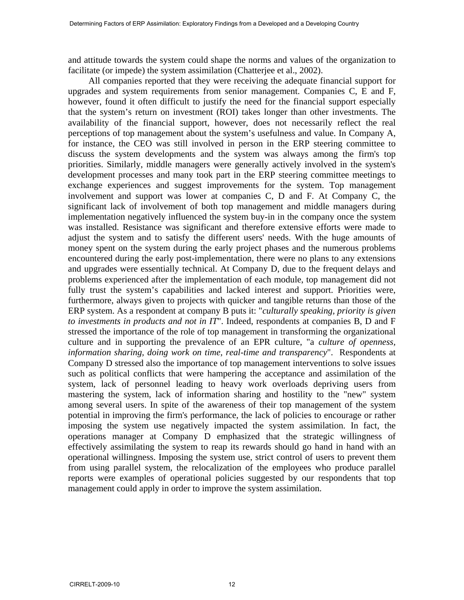and attitude towards the system could shape the norms and values of the organization to facilitate (or impede) the system assimilation (Chatterjee et al., 2002).

All companies reported that they were receiving the adequate financial support for upgrades and system requirements from senior management. Companies C, E and F, however, found it often difficult to justify the need for the financial support especially that the system's return on investment (ROI) takes longer than other investments. The availability of the financial support, however, does not necessarily reflect the real perceptions of top management about the system's usefulness and value. In Company A, for instance, the CEO was still involved in person in the ERP steering committee to discuss the system developments and the system was always among the firm's top priorities. Similarly, middle managers were generally actively involved in the system's development processes and many took part in the ERP steering committee meetings to exchange experiences and suggest improvements for the system. Top management involvement and support was lower at companies C, D and F. At Company C, the significant lack of involvement of both top management and middle managers during implementation negatively influenced the system buy-in in the company once the system was installed. Resistance was significant and therefore extensive efforts were made to adjust the system and to satisfy the different users' needs. With the huge amounts of money spent on the system during the early project phases and the numerous problems encountered during the early post-implementation, there were no plans to any extensions and upgrades were essentially technical. At Company D, due to the frequent delays and problems experienced after the implementation of each module, top management did not fully trust the system's capabilities and lacked interest and support. Priorities were, furthermore, always given to projects with quicker and tangible returns than those of the ERP system. As a respondent at company B puts it: "*culturally speaking, priority is given to investments in products and not in IT*". Indeed, respondents at companies B, D and F stressed the importance of the role of top management in transforming the organizational culture and in supporting the prevalence of an EPR culture, "a *culture of openness, information sharing, doing work on time, real-time and transparency*". Respondents at Company D stressed also the importance of top management interventions to solve issues such as political conflicts that were hampering the acceptance and assimilation of the system, lack of personnel leading to heavy work overloads depriving users from mastering the system, lack of information sharing and hostility to the "new" system among several users. In spite of the awareness of their top management of the system potential in improving the firm's performance, the lack of policies to encourage or rather imposing the system use negatively impacted the system assimilation. In fact, the operations manager at Company D emphasized that the strategic willingness of effectively assimilating the system to reap its rewards should go hand in hand with an operational willingness. Imposing the system use, strict control of users to prevent them from using parallel system, the relocalization of the employees who produce parallel reports were examples of operational policies suggested by our respondents that top management could apply in order to improve the system assimilation.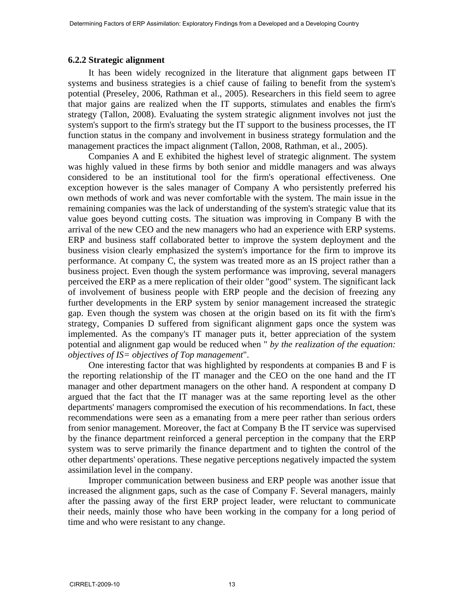#### **6.2.2 Strategic alignment**

It has been widely recognized in the literature that alignment gaps between IT systems and business strategies is a chief cause of failing to benefit from the system's potential (Preseley, 2006, Rathman et al., 2005). Researchers in this field seem to agree that major gains are realized when the IT supports, stimulates and enables the firm's strategy (Tallon, 2008). Evaluating the system strategic alignment involves not just the system's support to the firm's strategy but the IT support to the business processes, the IT function status in the company and involvement in business strategy formulation and the management practices the impact alignment (Tallon, 2008, Rathman, et al., 2005).

Companies A and E exhibited the highest level of strategic alignment. The system was highly valued in these firms by both senior and middle managers and was always considered to be an institutional tool for the firm's operational effectiveness. One exception however is the sales manager of Company A who persistently preferred his own methods of work and was never comfortable with the system. The main issue in the remaining companies was the lack of understanding of the system's strategic value that its value goes beyond cutting costs. The situation was improving in Company B with the arrival of the new CEO and the new managers who had an experience with ERP systems. ERP and business staff collaborated better to improve the system deployment and the business vision clearly emphasized the system's importance for the firm to improve its performance. At company C, the system was treated more as an IS project rather than a business project. Even though the system performance was improving, several managers perceived the ERP as a mere replication of their older "good" system. The significant lack of involvement of business people with ERP people and the decision of freezing any further developments in the ERP system by senior management increased the strategic gap. Even though the system was chosen at the origin based on its fit with the firm's strategy, Companies D suffered from significant alignment gaps once the system was implemented. As the company's IT manager puts it, better appreciation of the system potential and alignment gap would be reduced when " *by the realization of the equation: objectives of IS= objectives of Top management*".

One interesting factor that was highlighted by respondents at companies B and F is the reporting relationship of the IT manager and the CEO on the one hand and the IT manager and other department managers on the other hand. A respondent at company D argued that the fact that the IT manager was at the same reporting level as the other departments' managers compromised the execution of his recommendations. In fact, these recommendations were seen as a emanating from a mere peer rather than serious orders from senior management. Moreover, the fact at Company B the IT service was supervised by the finance department reinforced a general perception in the company that the ERP system was to serve primarily the finance department and to tighten the control of the other departments' operations. These negative perceptions negatively impacted the system assimilation level in the company.

Improper communication between business and ERP people was another issue that increased the alignment gaps, such as the case of Company F. Several managers, mainly after the passing away of the first ERP project leader, were reluctant to communicate their needs, mainly those who have been working in the company for a long period of time and who were resistant to any change.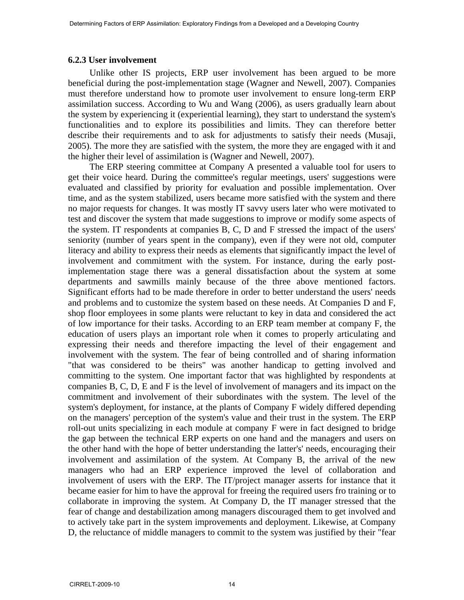#### **6.2.3 User involvement**

Unlike other IS projects, ERP user involvement has been argued to be more beneficial during the post-implementation stage (Wagner and Newell, 2007). Companies must therefore understand how to promote user involvement to ensure long-term ERP assimilation success. According to Wu and Wang (2006), as users gradually learn about the system by experiencing it (experiential learning), they start to understand the system's functionalities and to explore its possibilities and limits. They can therefore better describe their requirements and to ask for adjustments to satisfy their needs (Musaji, 2005). The more they are satisfied with the system, the more they are engaged with it and the higher their level of assimilation is (Wagner and Newell, 2007).

The ERP steering committee at Company A presented a valuable tool for users to get their voice heard. During the committee's regular meetings, users' suggestions were evaluated and classified by priority for evaluation and possible implementation. Over time, and as the system stabilized, users became more satisfied with the system and there no major requests for changes. It was mostly IT savvy users later who were motivated to test and discover the system that made suggestions to improve or modify some aspects of the system. IT respondents at companies B, C, D and F stressed the impact of the users' seniority (number of years spent in the company), even if they were not old, computer literacy and ability to express their needs as elements that significantly impact the level of involvement and commitment with the system. For instance, during the early postimplementation stage there was a general dissatisfaction about the system at some departments and sawmills mainly because of the three above mentioned factors. Significant efforts had to be made therefore in order to better understand the users' needs and problems and to customize the system based on these needs. At Companies D and F, shop floor employees in some plants were reluctant to key in data and considered the act of low importance for their tasks. According to an ERP team member at company F, the education of users plays an important role when it comes to properly articulating and expressing their needs and therefore impacting the level of their engagement and involvement with the system. The fear of being controlled and of sharing information "that was considered to be theirs" was another handicap to getting involved and committing to the system. One important factor that was highlighted by respondents at companies B, C, D, E and F is the level of involvement of managers and its impact on the commitment and involvement of their subordinates with the system. The level of the system's deployment, for instance, at the plants of Company F widely differed depending on the managers' perception of the system's value and their trust in the system. The ERP roll-out units specializing in each module at company F were in fact designed to bridge the gap between the technical ERP experts on one hand and the managers and users on the other hand with the hope of better understanding the latter's' needs, encouraging their involvement and assimilation of the system. At Company B, the arrival of the new managers who had an ERP experience improved the level of collaboration and involvement of users with the ERP. The IT/project manager asserts for instance that it became easier for him to have the approval for freeing the required users fro training or to collaborate in improving the system. At Company D, the IT manager stressed that the fear of change and destabilization among managers discouraged them to get involved and to actively take part in the system improvements and deployment. Likewise, at Company D, the reluctance of middle managers to commit to the system was justified by their "fear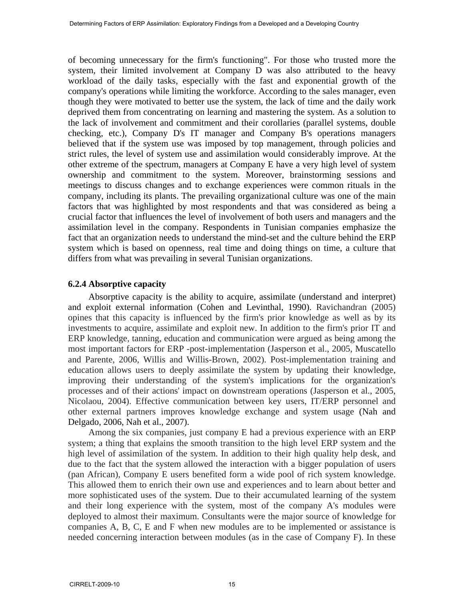of becoming unnecessary for the firm's functioning". For those who trusted more the system, their limited involvement at Company D was also attributed to the heavy workload of the daily tasks, especially with the fast and exponential growth of the company's operations while limiting the workforce. According to the sales manager, even though they were motivated to better use the system, the lack of time and the daily work deprived them from concentrating on learning and mastering the system. As a solution to the lack of involvement and commitment and their corollaries (parallel systems, double checking, etc.), Company D's IT manager and Company B's operations managers believed that if the system use was imposed by top management, through policies and strict rules, the level of system use and assimilation would considerably improve. At the other extreme of the spectrum, managers at Company E have a very high level of system ownership and commitment to the system. Moreover, brainstorming sessions and meetings to discuss changes and to exchange experiences were common rituals in the company, including its plants. The prevailing organizational culture was one of the main factors that was highlighted by most respondents and that was considered as being a crucial factor that influences the level of involvement of both users and managers and the assimilation level in the company. Respondents in Tunisian companies emphasize the fact that an organization needs to understand the mind-set and the culture behind the ERP system which is based on openness, real time and doing things on time, a culture that differs from what was prevailing in several Tunisian organizations.

#### **6.2.4 Absorptive capacity**

Absorptive capacity is the ability to acquire, assimilate (understand and interpret) and exploit external information (Cohen and Levinthal, 1990). Ravichandran (2005) opines that this capacity is influenced by the firm's prior knowledge as well as by its investments to acquire, assimilate and exploit new. In addition to the firm's prior IT and ERP knowledge, tanning, education and communication were argued as being among the most important factors for ERP -post-implementation (Jasperson et al., 2005, Muscatello and Parente, 2006, Willis and Willis-Brown, 2002). Post-implementation training and education allows users to deeply assimilate the system by updating their knowledge, improving their understanding of the system's implications for the organization's processes and of their actions' impact on downstream operations (Jasperson et al., 2005, Nicolaou, 2004). Effective communication between key users, IT/ERP personnel and other external partners improves knowledge exchange and system usage (Nah and Delgado, 2006, Nah et al., 2007).

Among the six companies, just company E had a previous experience with an ERP system; a thing that explains the smooth transition to the high level ERP system and the high level of assimilation of the system. In addition to their high quality help desk, and due to the fact that the system allowed the interaction with a bigger population of users (pan African), Company E users benefited form a wide pool of rich system knowledge. This allowed them to enrich their own use and experiences and to learn about better and more sophisticated uses of the system. Due to their accumulated learning of the system and their long experience with the system, most of the company A's modules were deployed to almost their maximum. Consultants were the major source of knowledge for companies A, B, C, E and F when new modules are to be implemented or assistance is needed concerning interaction between modules (as in the case of Company F). In these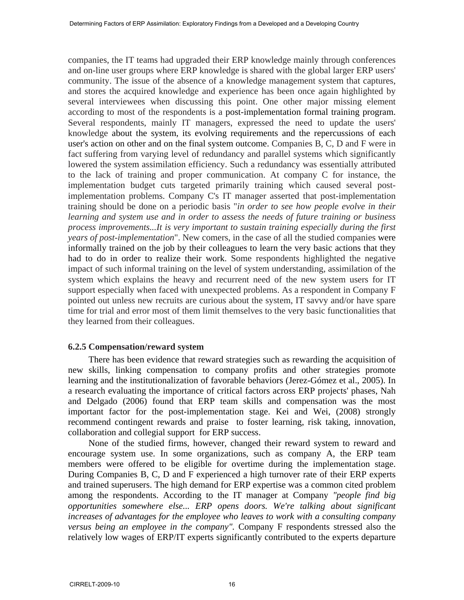companies, the IT teams had upgraded their ERP knowledge mainly through conferences and on-line user groups where ERP knowledge is shared with the global larger ERP users' community. The issue of the absence of a knowledge management system that captures, and stores the acquired knowledge and experience has been once again highlighted by several interviewees when discussing this point. One other major missing element according to most of the respondents is a post-implementation formal training program. Several respondents, mainly IT managers, expressed the need to update the users' knowledge about the system, its evolving requirements and the repercussions of each user's action on other and on the final system outcome. Companies B, C, D and F were in fact suffering from varying level of redundancy and parallel systems which significantly lowered the system assimilation efficiency. Such a redundancy was essentially attributed to the lack of training and proper communication. At company C for instance, the implementation budget cuts targeted primarily training which caused several postimplementation problems. Company C's IT manager asserted that post-implementation training should be done on a periodic basis "*in order to see how people evolve in their learning and system use and in order to assess the needs of future training or business process improvements...It is very important to sustain training especially during the first years of post-implementation*". New comers, in the case of all the studied companies were informally trained on the job by their colleagues to learn the very basic actions that they had to do in order to realize their work. Some respondents highlighted the negative impact of such informal training on the level of system understanding, assimilation of the system which explains the heavy and recurrent need of the new system users for IT support especially when faced with unexpected problems. As a respondent in Company F pointed out unless new recruits are curious about the system, IT savvy and/or have spare time for trial and error most of them limit themselves to the very basic functionalities that they learned from their colleagues.

#### **6.2.5 Compensation/reward system**

There has been evidence that reward strategies such as rewarding the acquisition of new skills, linking compensation to company profits and other strategies promote learning and the institutionalization of favorable behaviors (Jerez-Gómez et al., 2005). In a research evaluating the importance of critical factors across ERP projects' phases, Nah and Delgado (2006) found that ERP team skills and compensation was the most important factor for the post-implementation stage. Kei and Wei, (2008) strongly recommend contingent rewards and praise to foster learning, risk taking, innovation, collaboration and collegial support for ERP success.

None of the studied firms, however, changed their reward system to reward and encourage system use. In some organizations, such as company A, the ERP team members were offered to be eligible for overtime during the implementation stage. During Companies B, C, D and F experienced a high turnover rate of their ERP experts and trained superusers. The high demand for ERP expertise was a common cited problem among the respondents. According to the IT manager at Company *"people find big opportunities somewhere else... ERP opens doors. We're talking about significant increases of advantages for the employee who leaves to work with a consulting company versus being an employee in the company".* Company F respondents stressed also the relatively low wages of ERP/IT experts significantly contributed to the experts departure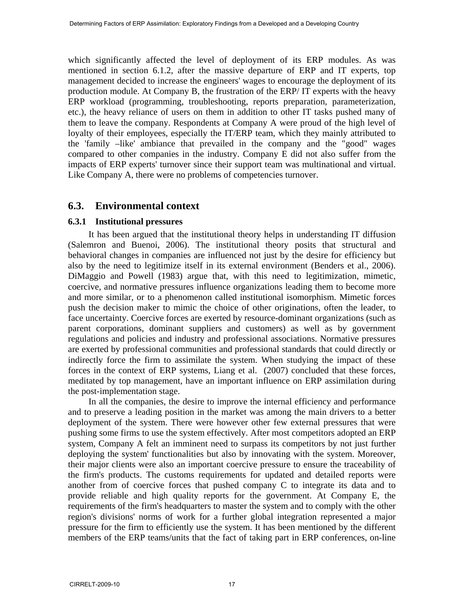which significantly affected the level of deployment of its ERP modules. As was mentioned in section 6.1.2, after the massive departure of ERP and IT experts, top management decided to increase the engineers' wages to encourage the deployment of its production module. At Company B, the frustration of the ERP/ IT experts with the heavy ERP workload (programming, troubleshooting, reports preparation, parameterization, etc.), the heavy reliance of users on them in addition to other IT tasks pushed many of them to leave the company. Respondents at Company A were proud of the high level of loyalty of their employees, especially the IT/ERP team, which they mainly attributed to the 'family –like' ambiance that prevailed in the company and the "good" wages compared to other companies in the industry. Company E did not also suffer from the impacts of ERP experts' turnover since their support team was multinational and virtual. Like Company A, there were no problems of competencies turnover.

## **6.3. Environmental context**

#### **6.3.1 Institutional pressures**

It has been argued that the institutional theory helps in understanding IT diffusion (Salemron and Buenoi, 2006). The institutional theory posits that structural and behavioral changes in companies are influenced not just by the desire for efficiency but also by the need to legitimize itself in its external environment (Benders et al., 2006). DiMaggio and Powell (1983) argue that, with this need to legitimization, mimetic, coercive, and normative pressures influence organizations leading them to become more and more similar, or to a phenomenon called institutional isomorphism. Mimetic forces push the decision maker to mimic the choice of other originations, often the leader, to face uncertainty. Coercive forces are exerted by resource-dominant organizations (such as parent corporations, dominant suppliers and customers) as well as by government regulations and policies and industry and professional associations. Normative pressures are exerted by professional communities and professional standards that could directly or indirectly force the firm to assimilate the system. When studying the impact of these forces in the context of ERP systems, Liang et al. (2007) concluded that these forces, meditated by top management, have an important influence on ERP assimilation during the post-implementation stage.

In all the companies, the desire to improve the internal efficiency and performance and to preserve a leading position in the market was among the main drivers to a better deployment of the system. There were however other few external pressures that were pushing some firms to use the system effectively. After most competitors adopted an ERP system, Company A felt an imminent need to surpass its competitors by not just further deploying the system' functionalities but also by innovating with the system. Moreover, their major clients were also an important coercive pressure to ensure the traceability of the firm's products. The customs requirements for updated and detailed reports were another from of coercive forces that pushed company C to integrate its data and to provide reliable and high quality reports for the government. At Company E, the requirements of the firm's headquarters to master the system and to comply with the other region's divisions' norms of work for a further global integration represented a major pressure for the firm to efficiently use the system. It has been mentioned by the different members of the ERP teams/units that the fact of taking part in ERP conferences, on-line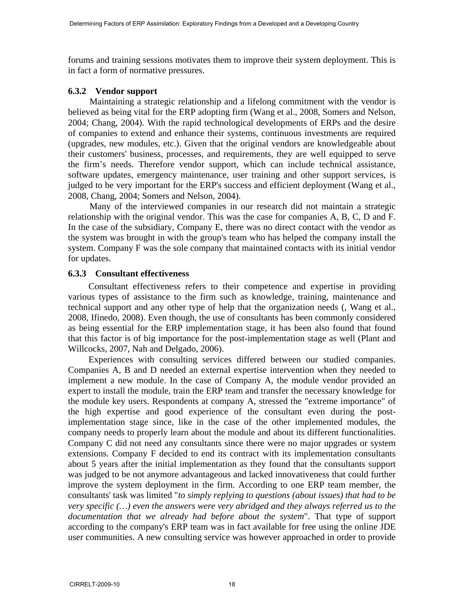forums and training sessions motivates them to improve their system deployment. This is in fact a form of normative pressures.

#### **6.3.2 Vendor support**

Maintaining a strategic relationship and a lifelong commitment with the vendor is believed as being vital for the ERP adopting firm (Wang et al., 2008, Somers and Nelson, 2004; Chang, 2004). With the rapid technological developments of ERPs and the desire of companies to extend and enhance their systems, continuous investments are required (upgrades, new modules, etc.). Given that the original vendors are knowledgeable about their customers' business, processes, and requirements, they are well equipped to serve the firm's needs. Therefore vendor support, which can include technical assistance, software updates, emergency maintenance, user training and other support services, is judged to be very important for the ERP's success and efficient deployment (Wang et al., 2008, Chang, 2004; Somers and Nelson, 2004).

Many of the interviewed companies in our research did not maintain a strategic relationship with the original vendor. This was the case for companies A, B, C, D and F. In the case of the subsidiary, Company E, there was no direct contact with the vendor as the system was brought in with the group's team who has helped the company install the system. Company F was the sole company that maintained contacts with its initial vendor for updates.

#### **6.3.3 Consultant effectiveness**

Consultant effectiveness refers to their competence and expertise in providing various types of assistance to the firm such as knowledge, training, maintenance and technical support and any other type of help that the organization needs (, Wang et al., 2008, Ifinedo, 2008). Even though, the use of consultants has been commonly considered as being essential for the ERP implementation stage, it has been also found that found that this factor is of big importance for the post-implementation stage as well (Plant and Willcocks, 2007, Nah and Delgado, 2006).

Experiences with consulting services differed between our studied companies. Companies A, B and D needed an external expertise intervention when they needed to implement a new module. In the case of Company A, the module vendor provided an expert to install the module, train the ERP team and transfer the necessary knowledge for the module key users. Respondents at company A, stressed the "extreme importance" of the high expertise and good experience of the consultant even during the postimplementation stage since, like in the case of the other implemented modules, the company needs to properly learn about the module and about its different functionalities. Company C did not need any consultants since there were no major upgrades or system extensions. Company F decided to end its contract with its implementation consultants about 5 years after the initial implementation as they found that the consultants support was judged to be not anymore advantageous and lacked innovativeness that could further improve the system deployment in the firm. According to one ERP team member, the consultants' task was limited "*to simply replying to questions (about issues) that had to be very specific (…) even the answers were very abridged and they always referred us to the documentation that we already had before about the system*". That type of support according to the company's ERP team was in fact available for free using the online JDE user communities. A new consulting service was however approached in order to provide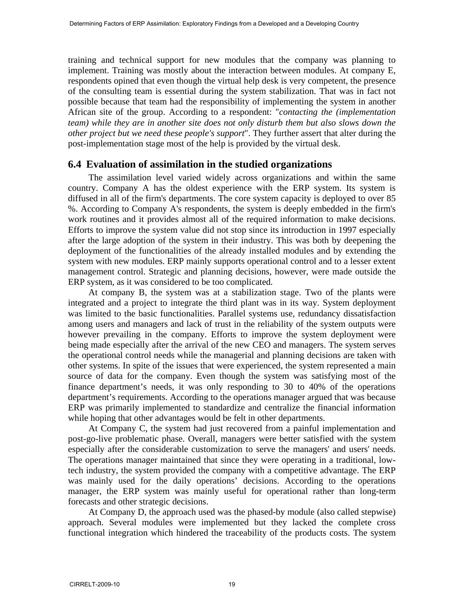training and technical support for new modules that the company was planning to implement. Training was mostly about the interaction between modules. At company E, respondents opined that even though the virtual help desk is very competent, the presence of the consulting team is essential during the system stabilization. That was in fact not possible because that team had the responsibility of implementing the system in another African site of the group. According to a respondent: "*contacting the (implementation team) while they are in another site does not only disturb them but also slows down the other project but we need these people's support*". They further assert that alter during the post-implementation stage most of the help is provided by the virtual desk.

## **6.4 Evaluation of assimilation in the studied organizations**

The assimilation level varied widely across organizations and within the same country. Company A has the oldest experience with the ERP system. Its system is diffused in all of the firm's departments. The core system capacity is deployed to over 85 %. According to Company A's respondents, the system is deeply embedded in the firm's work routines and it provides almost all of the required information to make decisions. Efforts to improve the system value did not stop since its introduction in 1997 especially after the large adoption of the system in their industry. This was both by deepening the deployment of the functionalities of the already installed modules and by extending the system with new modules. ERP mainly supports operational control and to a lesser extent management control. Strategic and planning decisions, however, were made outside the ERP system, as it was considered to be too complicated*.* 

At company B, the system was at a stabilization stage. Two of the plants were integrated and a project to integrate the third plant was in its way. System deployment was limited to the basic functionalities. Parallel systems use, redundancy dissatisfaction among users and managers and lack of trust in the reliability of the system outputs were however prevailing in the company. Efforts to improve the system deployment were being made especially after the arrival of the new CEO and managers. The system serves the operational control needs while the managerial and planning decisions are taken with other systems. In spite of the issues that were experienced, the system represented a main source of data for the company. Even though the system was satisfying most of the finance department's needs, it was only responding to 30 to 40% of the operations department's requirements. According to the operations manager argued that was because ERP was primarily implemented to standardize and centralize the financial information while hoping that other advantages would be felt in other departments.

At Company C, the system had just recovered from a painful implementation and post-go-live problematic phase. Overall, managers were better satisfied with the system especially after the considerable customization to serve the managers' and users' needs. The operations manager maintained that since they were operating in a traditional, lowtech industry, the system provided the company with a competitive advantage. The ERP was mainly used for the daily operations' decisions. According to the operations manager, the ERP system was mainly useful for operational rather than long-term forecasts and other strategic decisions.

At Company D, the approach used was the phased-by module (also called stepwise) approach. Several modules were implemented but they lacked the complete cross functional integration which hindered the traceability of the products costs. The system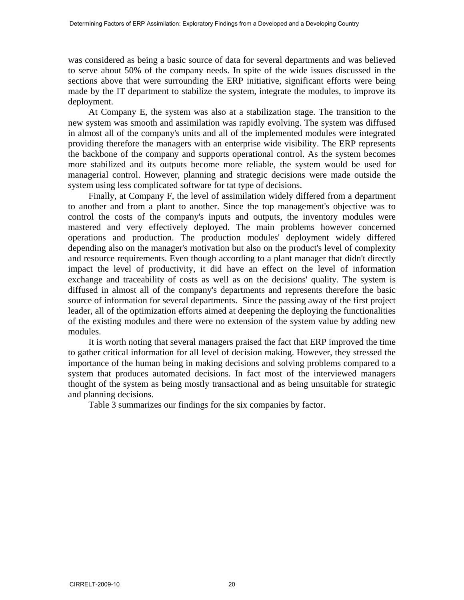was considered as being a basic source of data for several departments and was believed to serve about 50% of the company needs. In spite of the wide issues discussed in the sections above that were surrounding the ERP initiative, significant efforts were being made by the IT department to stabilize the system, integrate the modules, to improve its deployment.

At Company E, the system was also at a stabilization stage. The transition to the new system was smooth and assimilation was rapidly evolving. The system was diffused in almost all of the company's units and all of the implemented modules were integrated providing therefore the managers with an enterprise wide visibility. The ERP represents the backbone of the company and supports operational control. As the system becomes more stabilized and its outputs become more reliable, the system would be used for managerial control. However, planning and strategic decisions were made outside the system using less complicated software for tat type of decisions.

Finally, at Company F, the level of assimilation widely differed from a department to another and from a plant to another. Since the top management's objective was to control the costs of the company's inputs and outputs, the inventory modules were mastered and very effectively deployed. The main problems however concerned operations and production. The production modules' deployment widely differed depending also on the manager's motivation but also on the product's level of complexity and resource requirements. Even though according to a plant manager that didn't directly impact the level of productivity, it did have an effect on the level of information exchange and traceability of costs as well as on the decisions' quality. The system is diffused in almost all of the company's departments and represents therefore the basic source of information for several departments. Since the passing away of the first project leader, all of the optimization efforts aimed at deepening the deploying the functionalities of the existing modules and there were no extension of the system value by adding new modules.

It is worth noting that several managers praised the fact that ERP improved the time to gather critical information for all level of decision making. However, they stressed the importance of the human being in making decisions and solving problems compared to a system that produces automated decisions. In fact most of the interviewed managers thought of the system as being mostly transactional and as being unsuitable for strategic and planning decisions.

Table 3 summarizes our findings for the six companies by factor.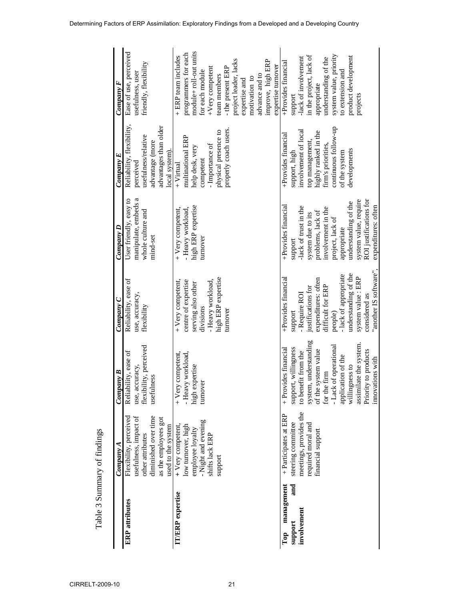|                         | CompanvA                                        | Company B                            | Company C                     | Company D                                 | Company E                        | Company F                                 |
|-------------------------|-------------------------------------------------|--------------------------------------|-------------------------------|-------------------------------------------|----------------------------------|-------------------------------------------|
| <b>ERP</b> attributes   | Flexibility, perceived<br>usefulness, impact of | Reliability, ease of                 | Reliability, ease of          | User friendly, easy to                    | Reliability, flexibility,        | Ease of use, perceived                    |
|                         | other attributes                                | use, accuracy,                       | use, accuracy,<br>flexibility | manipulate, embeds a<br>whole culture and | usefulness/relative<br>perceived | friendly, flexibility<br>usefulness, user |
|                         | diminished over time                            | flexibility, perceived<br>usefulness |                               | mind-set                                  | advantage (more                  |                                           |
|                         | as the employees got                            |                                      |                               |                                           | advantages than older            |                                           |
|                         | used to the system                              |                                      |                               |                                           | local system).                   |                                           |
| <b>IT/ERP</b> expertise | + Very competent                                | + Very competent,                    | + Very competent,             | + Very competent,                         | $+$ Virtual                      | + ERP team includes                       |
|                         | low turnover, high                              | - Heavy workload,                    | centre of expertise           | - Heavy workload,                         | multinational ERP                | programmers for each                      |
|                         | employee loyalty                                | high expertise                       | serving also other            | high ERP expertise                        | help desk, very                  | module+ roll-out units                    |
|                         | - Night and evening                             | turnover                             | divisions                     | turnover                                  | competent                        | for each module                           |
|                         | shifts lack ERP                                 |                                      | - Heavy workload,             |                                           | - Importance of                  | $+V$ ery competent                        |
|                         | support                                         |                                      | high ERP expertise            |                                           | physical presence to             | team members                              |
|                         |                                                 |                                      | turnover                      |                                           | properly coach users.            | - the present ERP                         |
|                         |                                                 |                                      |                               |                                           |                                  | project leader, lacks                     |
|                         |                                                 |                                      |                               |                                           |                                  | expertise and                             |
|                         |                                                 |                                      |                               |                                           |                                  | motivation to                             |
|                         |                                                 |                                      |                               |                                           |                                  | advance and to                            |
|                         |                                                 |                                      |                               |                                           |                                  | improve, high ERP                         |
|                         |                                                 |                                      |                               |                                           |                                  | expertise turnover                        |
| management<br>Top       | + Participates at ERP                           | + Provides financial                 | +Provides financial           | +Provides financial                       | +Provides financial              | +Provides financial                       |
| and<br>support          | steering committee                              | support, willingness                 | support                       | support                                   | support, high                    | support                                   |
| involvement             | meetings, provides the                          | to benefit from the                  | - Require ROI                 | -lack of trust in the                     | involvement of local             | -lack of involvement                      |
|                         | required moral and                              | system, understanding                | justifications for            | system due to its                         | top management,                  | in the project, lack of                   |
|                         | financial support                               | of the system value                  | expenditures: often           | problems, lack of                         | highly ranked in the             | appropriate                               |
|                         |                                                 | for the firm                         | difficult for ERP             | involvement in the                        | firm's priorities,               | understanding of the                      |
|                         |                                                 | - Lack of operational                | people)                       | project, lack of                          | continuous follow-up             | system value, priority                    |
|                         |                                                 | application of the                   | -lack of appropriate          | appropriate                               | of the system                    | to extension and                          |
|                         |                                                 | willingness to                       | understanding of the          | understanding of the                      | developments                     | product development                       |
|                         |                                                 | assimilate the system.               | system value: ERP             | system value, require                     |                                  | projects                                  |
|                         |                                                 | Priority to products                 | considered as                 | ROI justifications for                    |                                  |                                           |
|                         |                                                 | innovations with                     | "another IS software",        | expenditures: often                       |                                  |                                           |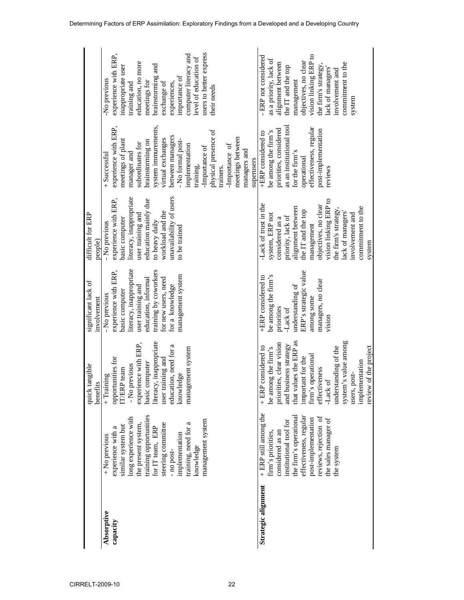|                     |                        | quick tangible<br>benefits | significant lack of<br>involvement | difficult for ERP<br>people) |                          |                         |
|---------------------|------------------------|----------------------------|------------------------------------|------------------------------|--------------------------|-------------------------|
| Absorptive          | + No previous          | $+$ Training               | - No previous                      | - No previous                | + Successful             | No previous             |
| capacity            | experience with a      | opportunities for          | experience with ERP,               | experience with ERP,         | experience with ERP,     | experience with ERP,    |
|                     | similar system but     | IT/ERP team                | basic computer                     | basic computer               | meetings of plant        | inappropriate user      |
|                     | long experience with   | - No previous              | literacy, inappropriate            | literacy, inappropriate      | manager and              | training and            |
|                     | the present system,    | experience with ERP,       | user training and                  | user training and            | subordinates for         | education, no more      |
|                     | training opportunities | basic computer             | education, informal                | education mainly due         | brainstorming on         | meetings for            |
|                     | for IT team, ERP       | literacy, inappropriate    | training by coworkers              | to heavy daily               | system immurements,      | brainstorming and       |
|                     | steering committee     | user training and          | for new users, need                | workload and the             | virtual exchanges        | exchange of             |
|                     | -no post-              | education, need for a      | for a knowledge                    | unavailability of users      | between managers         | experiences,            |
|                     | implementation         | knowledge                  | management system                  | to be trained                | No formal post-          | importance of           |
|                     | training, need for a   | management system          |                                    |                              | implementation           | computer literacy and   |
|                     | knowledge              |                            |                                    |                              | training,                | evel of education of    |
|                     | management system      |                            |                                    |                              | Importance of            | users to better express |
|                     |                        |                            |                                    |                              | physical presence of     | their needs             |
|                     |                        |                            |                                    |                              | trainers.                |                         |
|                     |                        |                            |                                    |                              | -Importance of           |                         |
|                     |                        |                            |                                    |                              | meetings between         |                         |
|                     |                        |                            |                                    |                              | managers and             |                         |
|                     |                        |                            |                                    |                              | superusers               |                         |
| Strategic alignment | + ERP still among the  | considered to<br>$+ ERP$   | +ERP considered to                 | -Lack of trust in the        | +ERP considered to       | - ERP not considered    |
|                     | firm's priorities,     | be among the firm's        | be among the firm's                | system, ERP not              | be among the firm's      | as a priority, lack of  |
|                     | considered as an       | priorities, clear vision   | priorities                         | considered as a              | priorities, considered   | alignment between       |
|                     | institutional tool for | and business strategy      | Lack of                            | priority, lack of            | as an institutional tool | the IT and the top      |
|                     | the firm's operational | that values the ERP as     | understanding of                   | alignment between            | for the firm's           | management              |
|                     | effectiveness, regular | important for the          | ERP's strategic value              | the IT and the top           | operational              | objectives, no clear    |
|                     | post-implementation    | firm's operational         | among some                         | management                   | effectiveness, regular   | vision linking ERP to   |
|                     | reviews, rejection of  | effectiveness              | managers, no clear                 | objectives, no clear         | post-implementation      | the firm's strategy     |
|                     | the sales manager of   | -Lack of                   | vision                             | vision linking ERP to        | reviews                  | lack of managers        |
|                     | the system             | understanding of the       |                                    | the firm's strategy          |                          | involvement and         |
|                     |                        | s value among<br>system'   |                                    | lack of managers'            |                          | commitment to the       |
|                     |                        | users, post-               |                                    | involvement and              |                          | system                  |
|                     |                        | implementation             |                                    | commitment to the            |                          |                         |
|                     |                        | of the project<br>review   |                                    | system                       |                          |                         |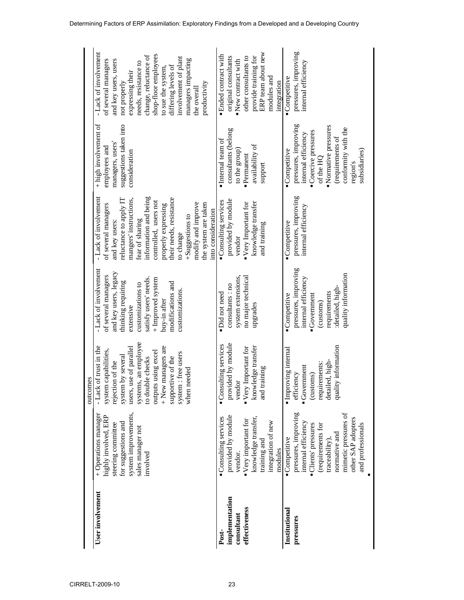| User involvement<br>implementation<br>effectiveness<br>Institutional<br>consultant<br>pressures<br>Post- | system improvements,<br>pressures, improving<br>+ Operations manager<br>highly involved, ERP<br>provided by module<br>knowledge transfer,<br>Consulting services<br>$\blacksquare$ Very important for<br>integration of new<br>internal efficiency<br>for suggestions and<br>steering committee<br>sales manager not<br>Competitive<br>training and<br>modules<br>vendor.<br>involved | systems, an employee<br>provided by module<br>Consulting services<br>+ New managers are<br>of trust in the<br>"Very Important for<br>knowledge transfer<br>use of parallel<br><b>Improving</b> internal<br>system capabilities,<br>outputs using excel<br>system : free users<br>system by several<br>supportive of the<br>to double checks<br>rejection of the<br>$\blacksquare$ Government<br>and training<br>when needed<br>efficiency<br>outcomes<br>vendor<br>- Lack<br>users, | - Lack of involvement<br>pressures, improving<br>and key users, legacy<br>of several managers<br>system extensions,<br>no major technical<br>internal efficiency<br>satisfy users' needs.<br>+ Improved system<br>thinking requiring<br>modifications and<br>customizations to<br>consultants: no<br>customizations.<br>·Did not need<br>Competitive<br>buy-in after<br>upgrades<br>extensive | pressures, improving<br>information and being<br>- Lack of involvement<br>their needs, resistance<br>mangers' instructions,<br>reluctance to apply IT<br>provided by module<br>Consulting services<br>controlled, users not<br>knowledge transfer<br>"Very Important for<br>modify and improve<br>the system are taken<br>of several managers<br>properly expressing<br>internal efficiency<br>into consideration<br>+Suggestions to<br>fear of sharing<br>and key users:<br>Competitive<br>and training<br>to change<br>vendor | + high involvement of<br>pressures, improving<br>suggestions taken into<br>consultants (belong<br>internal efficiency<br>Internal team of<br>managers, users'<br>availability of<br>employees and<br>Competitive<br>to the group)<br>consideration<br>·Permanent<br>support | pressures, improving<br>ERP team about new<br>- Lack of involvement<br>shop-floor employees<br>· Ended contract with<br>change, reluctance of<br>original consultants<br>other consultants to<br>provide training for<br>involvement of plant<br>managers impacting<br>of several managers<br>New contract with<br>and key users, users<br>needs, resistance to<br>internal efficiency<br>differing levels of<br>to sue the system,<br>expressing their<br>modules and<br>Competitive<br>integration<br>not properly<br>productivity<br>the overall |
|----------------------------------------------------------------------------------------------------------|---------------------------------------------------------------------------------------------------------------------------------------------------------------------------------------------------------------------------------------------------------------------------------------------------------------------------------------------------------------------------------------|-------------------------------------------------------------------------------------------------------------------------------------------------------------------------------------------------------------------------------------------------------------------------------------------------------------------------------------------------------------------------------------------------------------------------------------------------------------------------------------|-----------------------------------------------------------------------------------------------------------------------------------------------------------------------------------------------------------------------------------------------------------------------------------------------------------------------------------------------------------------------------------------------|---------------------------------------------------------------------------------------------------------------------------------------------------------------------------------------------------------------------------------------------------------------------------------------------------------------------------------------------------------------------------------------------------------------------------------------------------------------------------------------------------------------------------------|-----------------------------------------------------------------------------------------------------------------------------------------------------------------------------------------------------------------------------------------------------------------------------|-----------------------------------------------------------------------------------------------------------------------------------------------------------------------------------------------------------------------------------------------------------------------------------------------------------------------------------------------------------------------------------------------------------------------------------------------------------------------------------------------------------------------------------------------------|
|                                                                                                          | mimetic pressures of<br>other SAP adopters<br>and professionals<br>Clients' pressures<br>(requirements for<br>normative and<br>traceability),                                                                                                                                                                                                                                         | ity information<br>detailed, high-<br>requirements:<br>(customs)<br>quali                                                                                                                                                                                                                                                                                                                                                                                                           | quality information<br>:detailed, high-<br>requirements<br>$-Goverment$<br>(customs)                                                                                                                                                                                                                                                                                                          |                                                                                                                                                                                                                                                                                                                                                                                                                                                                                                                                 | Normative pressures<br>conformity with the<br>Coercive pressures<br>(requirements of<br>subsidiaries)<br>of the HQ<br>region's                                                                                                                                              |                                                                                                                                                                                                                                                                                                                                                                                                                                                                                                                                                     |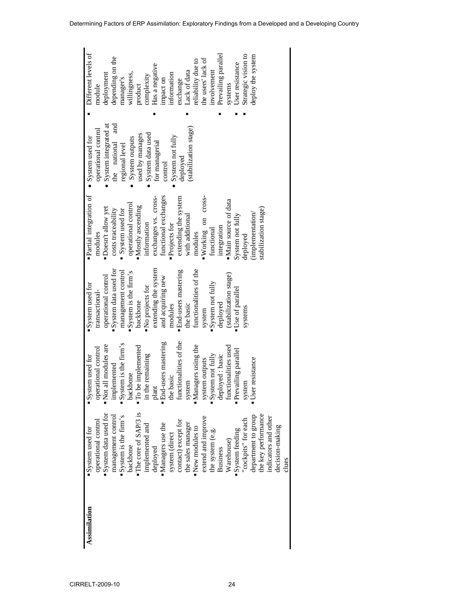| Assimilation | System used for                       | System used for          | System used for        | ·Partial integration of            | • System used for     | Different levels of |
|--------------|---------------------------------------|--------------------------|------------------------|------------------------------------|-----------------------|---------------------|
|              | operational control                   | operational control      | transactional-         | modules                            | operational control   | module              |
|              | · System data used for                | Not all modules are      | operational control    | Doesn't allow yet                  | System integrated at  | deployment          |
|              | management control                    | implemented              | ·System data used for  | costs traceability                 | and<br>the national   | depending on the    |
|              | "System is the firm's                 | System is the firm's     | management control     | System used for                    | regional level        | manager's           |
|              | backbone                              | backbone                 | "System is the firm's  | operational control                | System outputs        | willingness,        |
|              | "The core of SAP/3 is                 | <b>To be implemented</b> | backbone               | $\blacksquare$<br>Mostly ascending | used by manages       | product             |
|              | implemented and                       | in the remaining         | No projects for        | information                        | System data used      | complexity          |
|              | deployed                              | plant                    | extending the system   | exchanges vs. cross-               | for managerial        | Has a negative      |
|              | "Managers use the                     | · End-users mastering    | and acquiring new      | functional exchanges               | control               | impact on           |
|              |                                       | the basic                | modules                | Projects for                       | System not fully      | information         |
|              | system (direct<br>contact) except for | functionalities of the   | · End-users mastering  | extending the system               | deployed              | exchange            |
|              | the sales manager                     | system                   | the basic              | with additional                    | (stabilization stage) | Lack of data        |
|              | $\blacksquare$ New modules to         | · Managers using the     | functionalities of the | modules                            |                       | reliability due to  |
|              | extend and improve                    | system outputs           | system                 | Working on cross-                  |                       | the users' lack of  |
|              | the system (e.g.                      | System not fully         | System not fully       | functional                         |                       | involvement         |
|              | <b>Business</b>                       | deployed: basic          | deployed               | integration                        |                       | Prevailing parallel |
|              | Warehouse)                            | functionalities used     | (stabilization stage)  | ·Main source of data               |                       | systems             |
|              | · System feeding                      | Prevailing parallel      | "Use of parallel       | System not fully                   |                       | User resistance     |
|              | cockpits" for each                    | system                   | systems                | deployed                           |                       | Strategic vision to |
|              | department to group                   | resistance<br>User:      |                        | (implementation/                   |                       | deploy the system   |
|              | he key performance                    |                          |                        | stabilization stage)               |                       |                     |
|              | indicators and other                  |                          |                        |                                    |                       |                     |
|              | decision-making                       |                          |                        |                                    |                       |                     |
|              | clues                                 |                          |                        |                                    |                       |                     |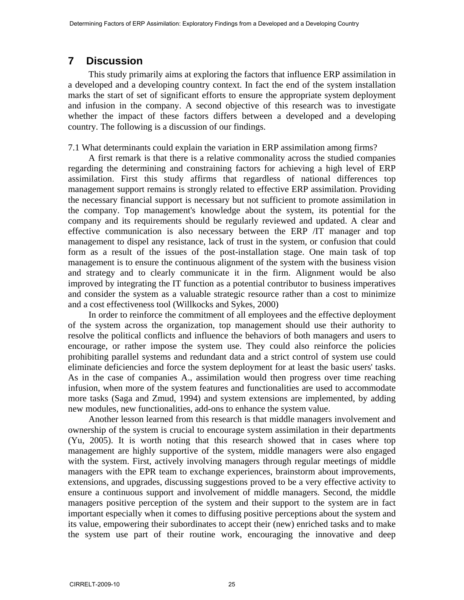## **7 Discussion**

This study primarily aims at exploring the factors that influence ERP assimilation in a developed and a developing country context. In fact the end of the system installation marks the start of set of significant efforts to ensure the appropriate system deployment and infusion in the company. A second objective of this research was to investigate whether the impact of these factors differs between a developed and a developing country. The following is a discussion of our findings.

#### 7.1 What determinants could explain the variation in ERP assimilation among firms?

A first remark is that there is a relative commonality across the studied companies regarding the determining and constraining factors for achieving a high level of ERP assimilation. First this study affirms that regardless of national differences top management support remains is strongly related to effective ERP assimilation. Providing the necessary financial support is necessary but not sufficient to promote assimilation in the company. Top management's knowledge about the system, its potential for the company and its requirements should be regularly reviewed and updated. A clear and effective communication is also necessary between the ERP /IT manager and top management to dispel any resistance, lack of trust in the system, or confusion that could form as a result of the issues of the post-installation stage. One main task of top management is to ensure the continuous alignment of the system with the business vision and strategy and to clearly communicate it in the firm. Alignment would be also improved by integrating the IT function as a potential contributor to business imperatives and consider the system as a valuable strategic resource rather than a cost to minimize and a cost effectiveness tool (Willkocks and Sykes, 2000)

In order to reinforce the commitment of all employees and the effective deployment of the system across the organization, top management should use their authority to resolve the political conflicts and influence the behaviors of both managers and users to encourage, or rather impose the system use. They could also reinforce the policies prohibiting parallel systems and redundant data and a strict control of system use could eliminate deficiencies and force the system deployment for at least the basic users' tasks. As in the case of companies A., assimilation would then progress over time reaching infusion, when more of the system features and functionalities are used to accommodate more tasks (Saga and Zmud, 1994) and system extensions are implemented, by adding new modules, new functionalities, add-ons to enhance the system value.

Another lesson learned from this research is that middle managers involvement and ownership of the system is crucial to encourage system assimilation in their departments (Yu, 2005). It is worth noting that this research showed that in cases where top management are highly supportive of the system, middle managers were also engaged with the system. First, actively involving managers through regular meetings of middle managers with the EPR team to exchange experiences, brainstorm about improvements, extensions, and upgrades, discussing suggestions proved to be a very effective activity to ensure a continuous support and involvement of middle managers. Second, the middle managers positive perception of the system and their support to the system are in fact important especially when it comes to diffusing positive perceptions about the system and its value, empowering their subordinates to accept their (new) enriched tasks and to make the system use part of their routine work, encouraging the innovative and deep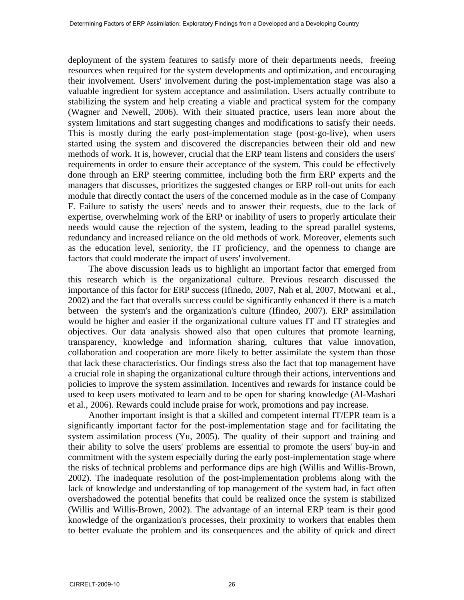deployment of the system features to satisfy more of their departments needs, freeing resources when required for the system developments and optimization, and encouraging their involvement. Users' involvement during the post-implementation stage was also a valuable ingredient for system acceptance and assimilation. Users actually contribute to stabilizing the system and help creating a viable and practical system for the company (Wagner and Newell, 2006). With their situated practice, users lean more about the system limitations and start suggesting changes and modifications to satisfy their needs. This is mostly during the early post-implementation stage (post-go-live), when users started using the system and discovered the discrepancies between their old and new methods of work. It is, however, crucial that the ERP team listens and considers the users' requirements in order to ensure their acceptance of the system. This could be effectively done through an ERP steering committee, including both the firm ERP experts and the managers that discusses, prioritizes the suggested changes or ERP roll-out units for each module that directly contact the users of the concerned module as in the case of Company F. Failure to satisfy the users' needs and to answer their requests, due to the lack of expertise, overwhelming work of the ERP or inability of users to properly articulate their needs would cause the rejection of the system, leading to the spread parallel systems, redundancy and increased reliance on the old methods of work. Moreover, elements such as the education level, seniority, the IT proficiency, and the openness to change are factors that could moderate the impact of users' involvement.

The above discussion leads us to highlight an important factor that emerged from this research which is the organizational culture. Previous research discussed the importance of this factor for ERP success (Ifinedo, 2007, Nah et al, 2007, Motwani et al., 2002) and the fact that overalls success could be significantly enhanced if there is a match between the system's and the organization's culture (Ifindeo, 2007). ERP assimilation would be higher and easier if the organizational culture values IT and IT strategies and objectives. Our data analysis showed also that open cultures that promote learning, transparency, knowledge and information sharing, cultures that value innovation, collaboration and cooperation are more likely to better assimilate the system than those that lack these characteristics. Our findings stress also the fact that top management have a crucial role in shaping the organizational culture through their actions, interventions and policies to improve the system assimilation. Incentives and rewards for instance could be used to keep users motivated to learn and to be open for sharing knowledge (Al-Mashari et al., 2006). Rewards could include praise for work, promotions and pay increase.

Another important insight is that a skilled and competent internal IT/EPR team is a significantly important factor for the post-implementation stage and for facilitating the system assimilation process (Yu, 2005). The quality of their support and training and their ability to solve the users' problems are essential to promote the users' buy-in and commitment with the system especially during the early post-implementation stage where the risks of technical problems and performance dips are high (Willis and Willis-Brown, 2002). The inadequate resolution of the post-implementation problems along with the lack of knowledge and understanding of top management of the system had, in fact often overshadowed the potential benefits that could be realized once the system is stabilized (Willis and Willis-Brown, 2002). The advantage of an internal ERP team is their good knowledge of the organization's processes, their proximity to workers that enables them to better evaluate the problem and its consequences and the ability of quick and direct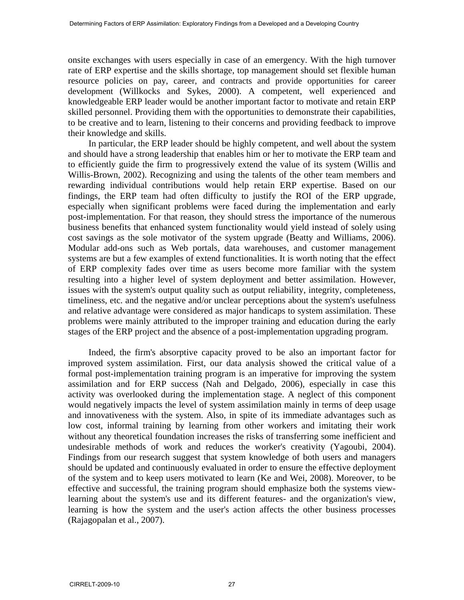onsite exchanges with users especially in case of an emergency. With the high turnover rate of ERP expertise and the skills shortage, top management should set flexible human resource policies on pay, career, and contracts and provide opportunities for career development (Willkocks and Sykes, 2000). A competent, well experienced and knowledgeable ERP leader would be another important factor to motivate and retain ERP skilled personnel. Providing them with the opportunities to demonstrate their capabilities, to be creative and to learn, listening to their concerns and providing feedback to improve their knowledge and skills.

In particular, the ERP leader should be highly competent, and well about the system and should have a strong leadership that enables him or her to motivate the ERP team and to efficiently guide the firm to progressively extend the value of its system (Willis and Willis-Brown, 2002). Recognizing and using the talents of the other team members and rewarding individual contributions would help retain ERP expertise. Based on our findings, the ERP team had often difficulty to justify the ROI of the ERP upgrade, especially when significant problems were faced during the implementation and early post-implementation. For that reason, they should stress the importance of the numerous business benefits that enhanced system functionality would yield instead of solely using cost savings as the sole motivator of the system upgrade (Beatty and Williams, 2006). Modular add-ons such as Web portals, data warehouses, and customer management systems are but a few examples of extend functionalities. It is worth noting that the effect of ERP complexity fades over time as users become more familiar with the system resulting into a higher level of system deployment and better assimilation. However, issues with the system's output quality such as output reliability, integrity, completeness, timeliness, etc. and the negative and/or unclear perceptions about the system's usefulness and relative advantage were considered as major handicaps to system assimilation. These problems were mainly attributed to the improper training and education during the early stages of the ERP project and the absence of a post-implementation upgrading program.

Indeed, the firm's absorptive capacity proved to be also an important factor for improved system assimilation. First, our data analysis showed the critical value of a formal post-implementation training program is an imperative for improving the system assimilation and for ERP success (Nah and Delgado, 2006), especially in case this activity was overlooked during the implementation stage. A neglect of this component would negatively impacts the level of system assimilation mainly in terms of deep usage and innovativeness with the system. Also, in spite of its immediate advantages such as low cost, informal training by learning from other workers and imitating their work without any theoretical foundation increases the risks of transferring some inefficient and undesirable methods of work and reduces the worker's creativity (Yagoubi, 2004). Findings from our research suggest that system knowledge of both users and managers should be updated and continuously evaluated in order to ensure the effective deployment of the system and to keep users motivated to learn (Ke and Wei, 2008). Moreover, to be effective and successful, the training program should emphasize both the systems viewlearning about the system's use and its different features- and the organization's view, learning is how the system and the user's action affects the other business processes (Rajagopalan et al., 2007).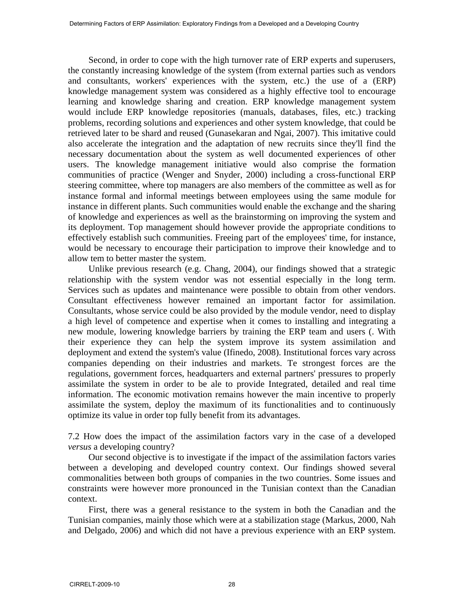Second, in order to cope with the high turnover rate of ERP experts and superusers, the constantly increasing knowledge of the system (from external parties such as vendors and consultants, workers' experiences with the system, etc.) the use of a (ERP) knowledge management system was considered as a highly effective tool to encourage learning and knowledge sharing and creation. ERP knowledge management system would include ERP knowledge repositories (manuals, databases, files, etc.) tracking problems, recording solutions and experiences and other system knowledge, that could be retrieved later to be shard and reused (Gunasekaran and Ngai, 2007). This imitative could also accelerate the integration and the adaptation of new recruits since they'll find the necessary documentation about the system as well documented experiences of other users. The knowledge management initiative would also comprise the formation communities of practice (Wenger and Snyder, 2000) including a cross-functional ERP steering committee, where top managers are also members of the committee as well as for instance formal and informal meetings between employees using the same module for instance in different plants. Such communities would enable the exchange and the sharing of knowledge and experiences as well as the brainstorming on improving the system and its deployment. Top management should however provide the appropriate conditions to effectively establish such communities. Freeing part of the employees' time, for instance, would be necessary to encourage their participation to improve their knowledge and to allow tem to better master the system.

Unlike previous research (e.g. Chang, 2004), our findings showed that a strategic relationship with the system vendor was not essential especially in the long term. Services such as updates and maintenance were possible to obtain from other vendors. Consultant effectiveness however remained an important factor for assimilation. Consultants, whose service could be also provided by the module vendor, need to display a high level of competence and expertise when it comes to installing and integrating a new module, lowering knowledge barriers by training the ERP team and users (. With their experience they can help the system improve its system assimilation and deployment and extend the system's value (Ifinedo, 2008). Institutional forces vary across companies depending on their industries and markets. Te strongest forces are the regulations, government forces, headquarters and external partners' pressures to properly assimilate the system in order to be ale to provide Integrated, detailed and real time information. The economic motivation remains however the main incentive to properly assimilate the system, deploy the maximum of its functionalities and to continuously optimize its value in order top fully benefit from its advantages.

7.2 How does the impact of the assimilation factors vary in the case of a developed *versus* a developing country?

Our second objective is to investigate if the impact of the assimilation factors varies between a developing and developed country context. Our findings showed several commonalities between both groups of companies in the two countries. Some issues and constraints were however more pronounced in the Tunisian context than the Canadian context.

First, there was a general resistance to the system in both the Canadian and the Tunisian companies, mainly those which were at a stabilization stage (Markus, 2000, Nah and Delgado, 2006) and which did not have a previous experience with an ERP system.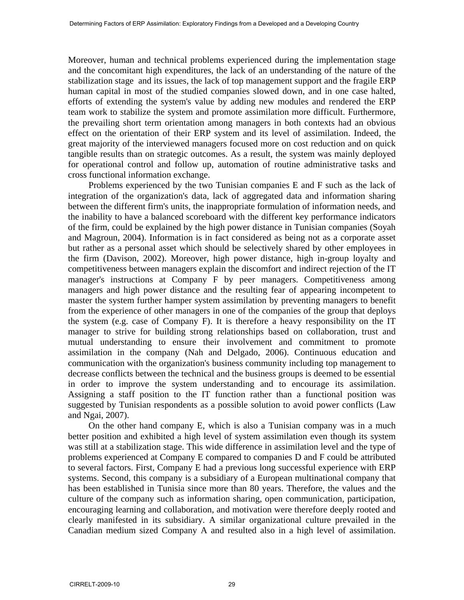Moreover, human and technical problems experienced during the implementation stage and the concomitant high expenditures, the lack of an understanding of the nature of the stabilization stage and its issues, the lack of top management support and the fragile ERP human capital in most of the studied companies slowed down, and in one case halted, efforts of extending the system's value by adding new modules and rendered the ERP team work to stabilize the system and promote assimilation more difficult. Furthermore, the prevailing short term orientation among managers in both contexts had an obvious effect on the orientation of their ERP system and its level of assimilation. Indeed, the great majority of the interviewed managers focused more on cost reduction and on quick tangible results than on strategic outcomes. As a result, the system was mainly deployed for operational control and follow up, automation of routine administrative tasks and cross functional information exchange.

Problems experienced by the two Tunisian companies E and F such as the lack of integration of the organization's data, lack of aggregated data and information sharing between the different firm's units, the inappropriate formulation of information needs, and the inability to have a balanced scoreboard with the different key performance indicators of the firm, could be explained by the high power distance in Tunisian companies (Soyah and Magroun, 2004). Information is in fact considered as being not as a corporate asset but rather as a personal asset which should be selectively shared by other employees in the firm (Davison, 2002). Moreover, high power distance, high in-group loyalty and competitiveness between managers explain the discomfort and indirect rejection of the IT manager's instructions at Company F by peer managers. Competitiveness among managers and high power distance and the resulting fear of appearing incompetent to master the system further hamper system assimilation by preventing managers to benefit from the experience of other managers in one of the companies of the group that deploys the system (e.g. case of Company F). It is therefore a heavy responsibility on the IT manager to strive for building strong relationships based on collaboration, trust and mutual understanding to ensure their involvement and commitment to promote assimilation in the company (Nah and Delgado, 2006). Continuous education and communication with the organization's business community including top management to decrease conflicts between the technical and the business groups is deemed to be essential in order to improve the system understanding and to encourage its assimilation. Assigning a staff position to the IT function rather than a functional position was suggested by Tunisian respondents as a possible solution to avoid power conflicts (Law and Ngai, 2007).

On the other hand company E, which is also a Tunisian company was in a much better position and exhibited a high level of system assimilation even though its system was still at a stabilization stage. This wide difference in assimilation level and the type of problems experienced at Company E compared to companies D and F could be attributed to several factors. First, Company E had a previous long successful experience with ERP systems. Second, this company is a subsidiary of a European multinational company that has been established in Tunisia since more than 80 years. Therefore, the values and the culture of the company such as information sharing, open communication, participation, encouraging learning and collaboration, and motivation were therefore deeply rooted and clearly manifested in its subsidiary. A similar organizational culture prevailed in the Canadian medium sized Company A and resulted also in a high level of assimilation.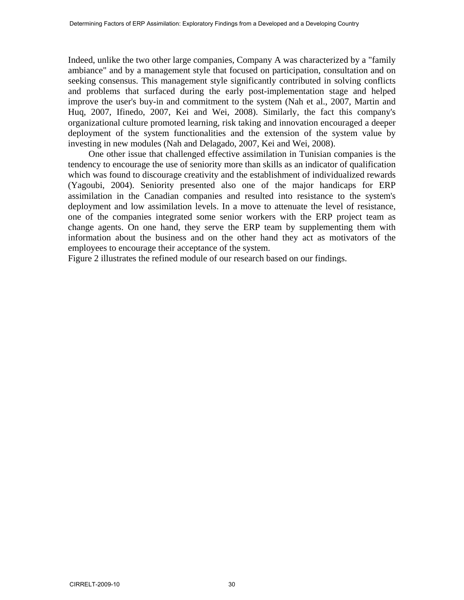Indeed, unlike the two other large companies, Company A was characterized by a "family ambiance" and by a management style that focused on participation, consultation and on seeking consensus. This management style significantly contributed in solving conflicts and problems that surfaced during the early post-implementation stage and helped improve the user's buy-in and commitment to the system (Nah et al., 2007, Martin and Huq, 2007, Ifinedo, 2007, Kei and Wei, 2008). Similarly, the fact this company's organizational culture promoted learning, risk taking and innovation encouraged a deeper deployment of the system functionalities and the extension of the system value by investing in new modules (Nah and Delagado, 2007, Kei and Wei, 2008).

One other issue that challenged effective assimilation in Tunisian companies is the tendency to encourage the use of seniority more than skills as an indicator of qualification which was found to discourage creativity and the establishment of individualized rewards (Yagoubi, 2004). Seniority presented also one of the major handicaps for ERP assimilation in the Canadian companies and resulted into resistance to the system's deployment and low assimilation levels. In a move to attenuate the level of resistance, one of the companies integrated some senior workers with the ERP project team as change agents. On one hand, they serve the ERP team by supplementing them with information about the business and on the other hand they act as motivators of the employees to encourage their acceptance of the system.

Figure 2 illustrates the refined module of our research based on our findings.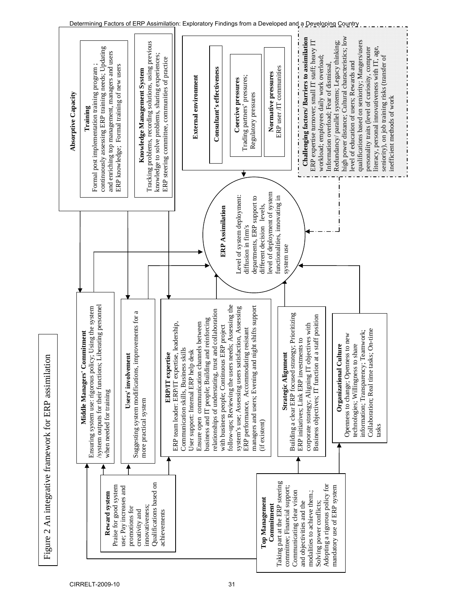

Figure 2 An integrative framework for ERP assimilation

Figure 2 An integrative framework for ERP assimilation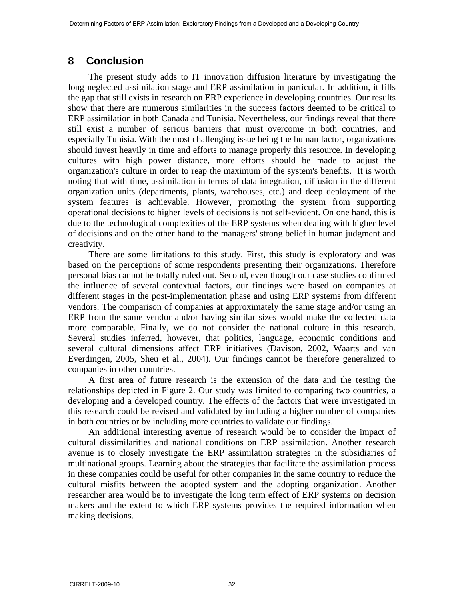# **8 Conclusion**

The present study adds to IT innovation diffusion literature by investigating the long neglected assimilation stage and ERP assimilation in particular. In addition, it fills the gap that still exists in research on ERP experience in developing countries. Our results show that there are numerous similarities in the success factors deemed to be critical to ERP assimilation in both Canada and Tunisia. Nevertheless, our findings reveal that there still exist a number of serious barriers that must overcome in both countries, and especially Tunisia. With the most challenging issue being the human factor, organizations should invest heavily in time and efforts to manage properly this resource. In developing cultures with high power distance, more efforts should be made to adjust the organization's culture in order to reap the maximum of the system's benefits. It is worth noting that with time, assimilation in terms of data integration, diffusion in the different organization units (departments, plants, warehouses, etc.) and deep deployment of the system features is achievable. However, promoting the system from supporting operational decisions to higher levels of decisions is not self-evident. On one hand, this is due to the technological complexities of the ERP systems when dealing with higher level of decisions and on the other hand to the managers' strong belief in human judgment and creativity.

There are some limitations to this study. First, this study is exploratory and was based on the perceptions of some respondents presenting their organizations. Therefore personal bias cannot be totally ruled out. Second, even though our case studies confirmed the influence of several contextual factors, our findings were based on companies at different stages in the post-implementation phase and using ERP systems from different vendors. The comparison of companies at approximately the same stage and/or using an ERP from the same vendor and/or having similar sizes would make the collected data more comparable. Finally, we do not consider the national culture in this research. Several studies inferred, however, that politics, language, economic conditions and several cultural dimensions affect ERP initiatives (Davison, 2002, Waarts and van Everdingen, 2005, Sheu et al., 2004). Our findings cannot be therefore generalized to companies in other countries.

A first area of future research is the extension of the data and the testing the relationships depicted in Figure 2. Our study was limited to comparing two countries, a developing and a developed country. The effects of the factors that were investigated in this research could be revised and validated by including a higher number of companies in both countries or by including more countries to validate our findings.

An additional interesting avenue of research would be to consider the impact of cultural dissimilarities and national conditions on ERP assimilation. Another research avenue is to closely investigate the ERP assimilation strategies in the subsidiaries of multinational groups. Learning about the strategies that facilitate the assimilation process in these companies could be useful for other companies in the same country to reduce the cultural misfits between the adopted system and the adopting organization. Another researcher area would be to investigate the long term effect of ERP systems on decision makers and the extent to which ERP systems provides the required information when making decisions.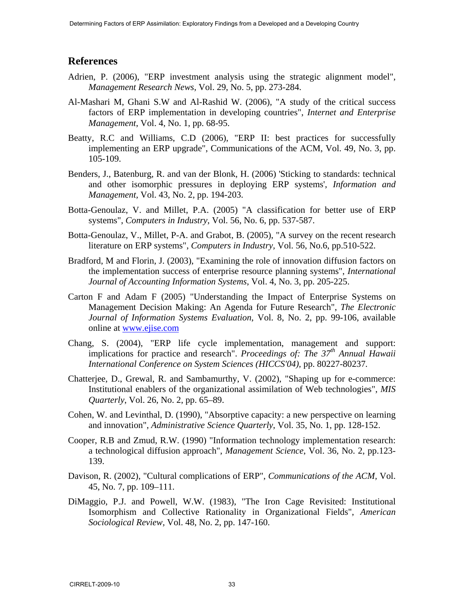## **References**

- Adrien, P. (2006), "ERP investment analysis using the strategic alignment model", *Management Research News*, Vol. 29, No. 5, pp. 273-284.
- Al-Mashari M, Ghani S.W and Al-Rashid W. (2006), "A study of the critical success factors of ERP implementation in developing countries", *Internet and Enterprise Management*, Vol. 4, No. 1, pp. 68-95.
- Beatty, R.C and Williams, C.D (2006), "ERP II: best practices for successfully implementing an ERP upgrade", Communications of the ACM, Vol. 49, No. 3, pp. 105-109.
- Benders, J., Batenburg, R. and van der Blonk, H. (2006) 'Sticking to standards: technical and other isomorphic pressures in deploying ERP systems', *Information and Management,* Vol. 43, No. 2, pp. 194-203.
- Botta-Genoulaz, V. and Millet, P.A. (2005) "A classification for better use of ERP systems", *Computers in Industry*, Vol. 56, No. 6, pp. 537-587.
- Botta-Genoulaz, V., Millet, P-A. and Grabot, B. (2005), "A survey on the recent research literature on ERP systems", *Computers in Industry,* Vol. 56, No.6, pp.510-522.
- Bradford, M and Florin, J. (2003), "Examining the role of innovation diffusion factors on the implementation success of enterprise resource planning systems", *International Journal of Accounting Information Systems*, Vol. 4, No. 3, pp. 205-225.
- Carton F and Adam F (2005) "Understanding the Impact of Enterprise Systems on Management Decision Making: An Agenda for Future Research", *The Electronic Journal of Information Systems Evaluation*, Vol. 8, No. 2, pp. 99-106, available online at www.ejise.com
- Chang, S. (2004), "ERP life cycle implementation, management and support: implications for practice and research". *Proceedings of: The 37<sup>th</sup> Annual Hawaii International Conference on System Sciences (HICCS'04),* pp. 80227-80237*.*
- Chatterjee, D., Grewal, R. and Sambamurthy, V. (2002), "Shaping up for e-commerce: Institutional enablers of the organizational assimilation of Web technologies", *MIS Quarterly*, Vol. 26, No. 2, pp. 65–89.
- Cohen, W. and Levinthal, D. (1990), "Absorptive capacity: a new perspective on learning and innovation", *Administrative Science Quarterly*, Vol. 35, No. 1, pp. 128-152.
- Cooper, R.B and Zmud, R.W. (1990) "Information technology implementation research: a technological diffusion approach", *Management Science*, Vol. 36, No. 2, pp.123- 139.
- Davison, R. (2002), "Cultural complications of ERP", *Communications of the ACM,* Vol. 45, No. 7, pp. 109–111.
- DiMaggio, P.J. and Powell, W.W. (1983), "The Iron Cage Revisited: Institutional Isomorphism and Collective Rationality in Organizational Fields", *American Sociological Review,* Vol. 48, No. 2, pp. 147-160.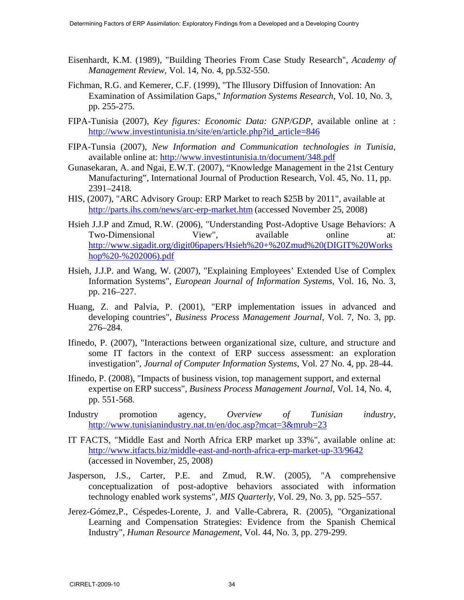- Eisenhardt, K.M. (1989), "Building Theories From Case Study Research", *Academy of Management Review,* Vol. 14, No. 4, pp.532-550.
- Fichman, R.G. and Kemerer, C.F. (1999), "The Illusory Diffusion of Innovation: An Examination of Assimilation Gaps," *Information Systems Research*, Vol. 10, No. 3, pp. 255-275.
- FIPA-Tunisia (2007), *Key figures: Economic Data: GNP/GDP*, available online at : http://www.investintunisia.tn/site/en/article.php?id\_article=846
- FIPA-Tunsia (2007), *New Information and Communication technologies in Tunisia*, available online at: http://www.investintunisia.tn/document/348.pdf
- Gunasekaran, A. and Ngai, E.W.T. (2007), "Knowledge Management in the 21st Century Manufacturing", International Journal of Production Research, Vol. 45, No. 11, pp. 2391–2418.
- HIS, (2007), "ARC Advisory Group: ERP Market to reach \$25B by 2011", available at http://parts.ihs.com/news/arc-erp-market.htm (accessed November 25, 2008)
- Hsieh J.J.P and Zmud, R.W. (2006), "Understanding Post-Adoptive Usage Behaviors: A Two-Dimensional View", available online at: http://www.sigadit.org/digit06papers/Hsieh%20+%20Zmud%20(DIGIT%20Works hop%20-%202006).pdf
- Hsieh, J.J.P. and Wang, W. (2007), "Explaining Employees' Extended Use of Complex Information Systems", *European Journal of Information Systems*, Vol. 16, No. 3, pp. 216–227.
- Huang, Z. and Palvia, P. (2001), "ERP implementation issues in advanced and developing countries", *Business Process Management Journal*, Vol. 7, No. 3, pp. 276–284.
- Ifinedo, P. (2007), "Interactions between organizational size, culture, and structure and some IT factors in the context of ERP success assessment: an exploration investigation", *Journal of Computer Information Systems*, Vol. 27 No. 4, pp. 28-44.
- Ifinedo, P. (2008), "Impacts of business vision, top management support, and external expertise on ERP success", *Business Process Management Journal*, Vol. 14, No. 4, pp. 551-568.
- Industry promotion agency, *Overview of Tunisian industry*, http://www.tunisianindustry.nat.tn/en/doc.asp?mcat=3&mrub=23
- IT FACTS, "Middle East and North Africa ERP market up 33%", available online at: http://www.itfacts.biz/middle-east-and-north-africa-erp-market-up-33/9642 (accessed in November, 25, 2008)
- Jasperson, J.S., Carter, P.E. and Zmud, R.W. (2005), "A comprehensive conceptualization of post-adoptive behaviors associated with information technology enabled work systems", *MIS Quarterly*, Vol. 29, No. 3, pp. 525–557.
- Jerez-Gómez,P., Céspedes-Lorente, J. and Valle-Cabrera, R. (2005), "Organizational Learning and Compensation Strategies: Evidence from the Spanish Chemical Industry", *Human Resource Management,* Vol. 44, No. 3, pp. 279-299.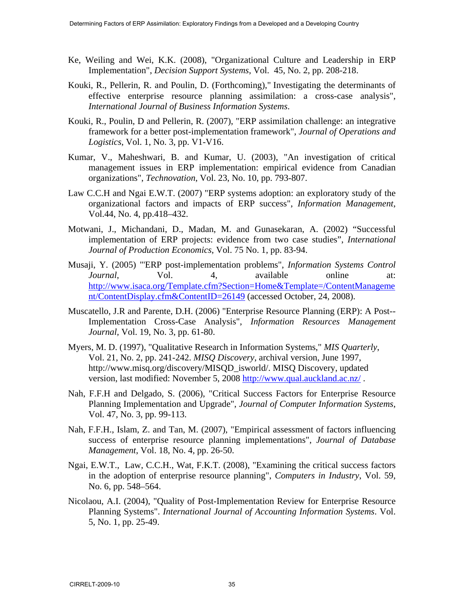- Ke, Weiling and Wei, K.K. (2008), "Organizational Culture and Leadership in ERP Implementation", *Decision Support Systems*, Vol. 45, No. 2, pp. 208-218.
- Kouki, R., Pellerin, R. and Poulin, D. (Forthcoming)," Investigating the determinants of effective enterprise resource planning assimilation: a cross-case analysis", *International Journal of Business Information Systems*.
- Kouki, R., Poulin, D and Pellerin, R. (2007), "ERP assimilation challenge: an integrative framework for a better post-implementation framework", *Journal of Operations and Logistics*, Vol. 1, No. 3, pp. V1-V16.
- Kumar, V., Maheshwari, B. and Kumar, U. (2003), "An investigation of critical management issues in ERP implementation: empirical evidence from Canadian organizations", *Technovation*, Vol. 23, No. 10, pp. 793-807.
- Law C.C.H and Ngai E.W.T. (2007) "ERP systems adoption: an exploratory study of the organizational factors and impacts of ERP success", *Information Management*, Vol.44, No. 4, pp.418–432.
- Motwani, J., Michandani, D., Madan, M. and Gunasekaran, A. (2002) "Successful implementation of ERP projects: evidence from two case studies", *International Journal of Production Economics*, Vol. 75 No. 1, pp. 83-94.
- Musaji, Y. (2005) "'ERP post-implementation problems", *Information Systems Control Journal*, Vol. 4, available online at: http://www.isaca.org/Template.cfm?Section=Home&Template=/ContentManageme nt/ContentDisplay.cfm&ContentID=26149 (accessed October, 24, 2008).
- Muscatello, J.R and Parente, D.H. (2006) "Enterprise Resource Planning (ERP): A Post-- Implementation Cross-Case Analysis", *Information Resources Management Journal,* Vol. 19, No. 3, pp. 61-80.
- Myers, M. D. (1997), "Qualitative Research in Information Systems," *MIS Quarterly*, Vol. 21, No. 2, pp. 241-242. *MISQ Discovery*, archival version, June 1997, http://www.misq.org/discovery/MISQD\_isworld/. MISQ Discovery, updated version, last modified: November 5, 2008 http://www.qual.auckland.ac.nz/ .
- Nah, F.F.H and Delgado, S. (2006), "Critical Success Factors for Enterprise Resource Planning Implementation and Upgrade", *Journal of Computer Information Systems*, Vol. 47, No. 3, pp. 99-113.
- Nah, F.F.H., Islam, Z. and Tan, M. (2007), "Empirical assessment of factors influencing success of enterprise resource planning implementations", *Journal of Database Management*, Vol. 18, No. 4, pp. 26-50.
- Ngai, E.W.T., Law, C.C.H., Wat, F.K.T. (2008), "Examining the critical success factors in the adoption of enterprise resource planning", *Computers in Industry*, Vol. 59, No. 6, pp. 548–564.
- Nicolaou, A.I. (2004), "Quality of Post-Implementation Review for Enterprise Resource Planning Systems". *International Journal of Accounting Information Systems*. Vol. 5, No. 1, pp. 25-49.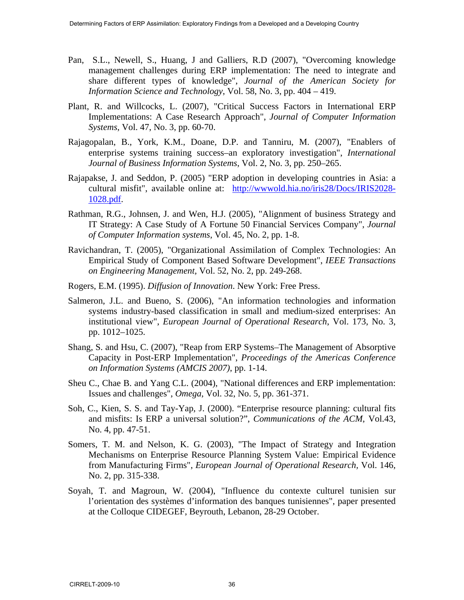- Pan, S.L., Newell, S., Huang, J and Galliers, R.D (2007), "Overcoming knowledge management challenges during ERP implementation: The need to integrate and share different types of knowledge", *Journal of the American Society for Information Science and Technology*, Vol. 58, No. 3, pp. 404 – 419.
- Plant, R. and Willcocks, L. (2007), "Critical Success Factors in International ERP Implementations: A Case Research Approach", *Journal of Computer Information Systems*, Vol. 47, No. 3, pp. 60-70.
- Rajagopalan, B., York, K.M., Doane, D.P. and Tanniru, M. (2007), "Enablers of enterprise systems training success–an exploratory investigation", *International Journal of Business Information Systems*, Vol. 2, No. 3, pp. 250–265.
- Rajapakse, J. and Seddon, P. (2005) "ERP adoption in developing countries in Asia: a cultural misfit", available online at: http://wwwold.hia.no/iris28/Docs/IRIS2028- 1028.pdf.
- Rathman, R.G., Johnsen, J. and Wen, H.J. (2005), "Alignment of business Strategy and IT Strategy: A Case Study of A Fortune 50 Financial Services Company", *Journal of Computer Information systems*, Vol. 45, No. 2, pp. 1-8.
- Ravichandran, T. (2005), "Organizational Assimilation of Complex Technologies: An Empirical Study of Component Based Software Development", *IEEE Transactions on Engineering Management,* Vol. 52, No. 2, pp. 249-268.
- Rogers, E.M. (1995). *Diffusion of Innovation*. New York: Free Press.
- Salmeron, J.L. and Bueno, S. (2006), "An information technologies and information systems industry-based classification in small and medium-sized enterprises: An institutional view", *European Journal of Operational Research*, Vol. 173, No. 3, pp. 1012–1025.
- Shang, S. and Hsu, C. (2007), "Reap from ERP Systems–The Management of Absorptive Capacity in Post-ERP Implementation", *Proceedings of the Americas Conference on Information Systems (AMCIS 2007)*, pp. 1-14.
- Sheu C., Chae B. and Yang C.L. (2004), "National differences and ERP implementation: Issues and challenges", *Omega*, Vol. 32, No. 5, pp. 361-371.
- Soh, C., Kien, S. S. and Tay-Yap, J. (2000). "Enterprise resource planning: cultural fits and misfits: Is ERP a universal solution?", *Communications of the ACM*, Vol.43, No. 4, pp. 47-51.
- Somers, T. M. and Nelson, K. G. (2003), "The Impact of Strategy and Integration Mechanisms on Enterprise Resource Planning System Value: Empirical Evidence from Manufacturing Firms", *European Journal of Operational Research,* Vol. 146, No. 2, pp. 315-338.
- Soyah, T. and Magroun, W. (2004), "Influence du contexte culturel tunisien sur l'orientation des systèmes d'information des banques tunisiennes", paper presented at the Colloque CIDEGEF, Beyrouth, Lebanon, 28-29 October.